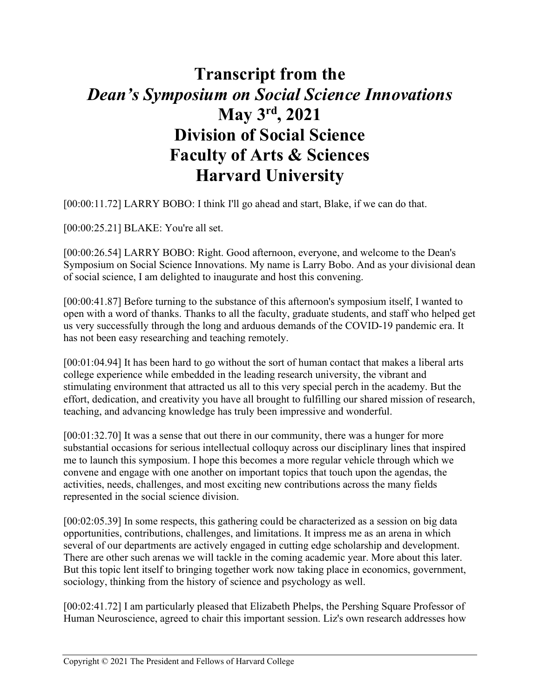## **Transcript from the** *Dean's Symposium on Social Science Innovations* **May 3rd, 2021 Division of Social Science Faculty of Arts & Sciences Harvard University**

[00:00:11.72] LARRY BOBO: I think I'll go ahead and start, Blake, if we can do that.

[00:00:25.21] BLAKE: You're all set.

[00:00:26.54] LARRY BOBO: Right. Good afternoon, everyone, and welcome to the Dean's Symposium on Social Science Innovations. My name is Larry Bobo. And as your divisional dean of social science, I am delighted to inaugurate and host this convening.

[00:00:41.87] Before turning to the substance of this afternoon's symposium itself, I wanted to open with a word of thanks. Thanks to all the faculty, graduate students, and staff who helped get us very successfully through the long and arduous demands of the COVID-19 pandemic era. It has not been easy researching and teaching remotely.

[00:01:04.94] It has been hard to go without the sort of human contact that makes a liberal arts college experience while embedded in the leading research university, the vibrant and stimulating environment that attracted us all to this very special perch in the academy. But the effort, dedication, and creativity you have all brought to fulfilling our shared mission of research, teaching, and advancing knowledge has truly been impressive and wonderful.

[00:01:32.70] It was a sense that out there in our community, there was a hunger for more substantial occasions for serious intellectual colloquy across our disciplinary lines that inspired me to launch this symposium. I hope this becomes a more regular vehicle through which we convene and engage with one another on important topics that touch upon the agendas, the activities, needs, challenges, and most exciting new contributions across the many fields represented in the social science division.

[00:02:05.39] In some respects, this gathering could be characterized as a session on big data opportunities, contributions, challenges, and limitations. It impress me as an arena in which several of our departments are actively engaged in cutting edge scholarship and development. There are other such arenas we will tackle in the coming academic year. More about this later. But this topic lent itself to bringing together work now taking place in economics, government, sociology, thinking from the history of science and psychology as well.

[00:02:41.72] I am particularly pleased that Elizabeth Phelps, the Pershing Square Professor of Human Neuroscience, agreed to chair this important session. Liz's own research addresses how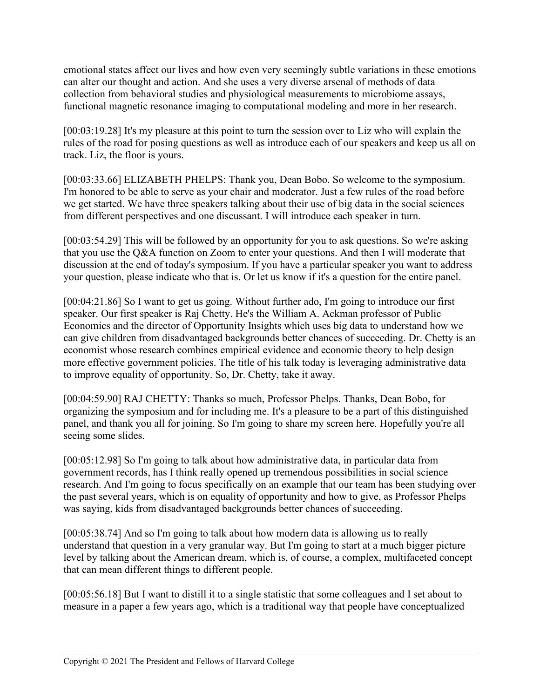emotional states affect our lives and how even very seemingly subtle variations in these emotions can alter our thought and action. And she uses a very diverse arsenal of methods of data collection from behavioral studies and physiological measurements to microbiome assays, functional magnetic resonance imaging to computational modeling and more in her research.

[00:03:19.28] It's my pleasure at this point to turn the session over to Liz who will explain the rules of the road for posing questions as well as introduce each of our speakers and keep us all on track. Liz, the floor is yours.

[00:03:33.66] ELIZABETH PHELPS: Thank you, Dean Bobo. So welcome to the symposium. I'm honored to be able to serve as your chair and moderator. Just a few rules of the road before we get started. We have three speakers talking about their use of big data in the social sciences from different perspectives and one discussant. I will introduce each speaker in turn.

[00:03:54.29] This will be followed by an opportunity for you to ask questions. So we're asking that you use the Q&A function on Zoom to enter your questions. And then I will moderate that discussion at the end of today's symposium. If you have a particular speaker you want to address your question, please indicate who that is. Or let us know if it's a question for the entire panel.

[00:04:21.86] So I want to get us going. Without further ado, I'm going to introduce our first speaker. Our first speaker is Raj Chetty. He's the William A. Ackman professor of Public Economics and the director of Opportunity Insights which uses big data to understand how we can give children from disadvantaged backgrounds better chances of succeeding. Dr. Chetty is an economist whose research combines empirical evidence and economic theory to help design more effective government policies. The title of his talk today is leveraging administrative data to improve equality of opportunity. So, Dr. Chetty, take it away.

[00:04:59.90] RAJ CHETTY: Thanks so much, Professor Phelps. Thanks, Dean Bobo, for organizing the symposium and for including me. It's a pleasure to be a part of this distinguished panel, and thank you all for joining. So I'm going to share my screen here. Hopefully you're all seeing some slides.

[00:05:12.98] So I'm going to talk about how administrative data, in particular data from government records, has I think really opened up tremendous possibilities in social science research. And I'm going to focus specifically on an example that our team has been studying over the past several years, which is on equality of opportunity and how to give, as Professor Phelps was saying, kids from disadvantaged backgrounds better chances of succeeding.

[00:05:38.74] And so I'm going to talk about how modern data is allowing us to really understand that question in a very granular way. But I'm going to start at a much bigger picture level by talking about the American dream, which is, of course, a complex, multifaceted concept that can mean different things to different people.

[00:05:56.18] But I want to distill it to a single statistic that some colleagues and I set about to measure in a paper a few years ago, which is a traditional way that people have conceptualized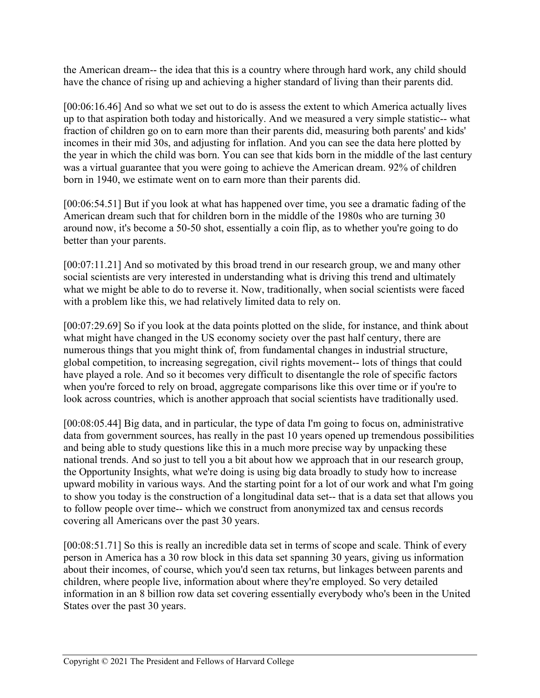the American dream-- the idea that this is a country where through hard work, any child should have the chance of rising up and achieving a higher standard of living than their parents did.

[00:06:16.46] And so what we set out to do is assess the extent to which America actually lives up to that aspiration both today and historically. And we measured a very simple statistic-- what fraction of children go on to earn more than their parents did, measuring both parents' and kids' incomes in their mid 30s, and adjusting for inflation. And you can see the data here plotted by the year in which the child was born. You can see that kids born in the middle of the last century was a virtual guarantee that you were going to achieve the American dream. 92% of children born in 1940, we estimate went on to earn more than their parents did.

[00:06:54.51] But if you look at what has happened over time, you see a dramatic fading of the American dream such that for children born in the middle of the 1980s who are turning 30 around now, it's become a 50-50 shot, essentially a coin flip, as to whether you're going to do better than your parents.

[00:07:11.21] And so motivated by this broad trend in our research group, we and many other social scientists are very interested in understanding what is driving this trend and ultimately what we might be able to do to reverse it. Now, traditionally, when social scientists were faced with a problem like this, we had relatively limited data to rely on.

[00:07:29.69] So if you look at the data points plotted on the slide, for instance, and think about what might have changed in the US economy society over the past half century, there are numerous things that you might think of, from fundamental changes in industrial structure, global competition, to increasing segregation, civil rights movement-- lots of things that could have played a role. And so it becomes very difficult to disentangle the role of specific factors when you're forced to rely on broad, aggregate comparisons like this over time or if you're to look across countries, which is another approach that social scientists have traditionally used.

[00:08:05.44] Big data, and in particular, the type of data I'm going to focus on, administrative data from government sources, has really in the past 10 years opened up tremendous possibilities and being able to study questions like this in a much more precise way by unpacking these national trends. And so just to tell you a bit about how we approach that in our research group, the Opportunity Insights, what we're doing is using big data broadly to study how to increase upward mobility in various ways. And the starting point for a lot of our work and what I'm going to show you today is the construction of a longitudinal data set-- that is a data set that allows you to follow people over time-- which we construct from anonymized tax and census records covering all Americans over the past 30 years.

[00:08:51.71] So this is really an incredible data set in terms of scope and scale. Think of every person in America has a 30 row block in this data set spanning 30 years, giving us information about their incomes, of course, which you'd seen tax returns, but linkages between parents and children, where people live, information about where they're employed. So very detailed information in an 8 billion row data set covering essentially everybody who's been in the United States over the past 30 years.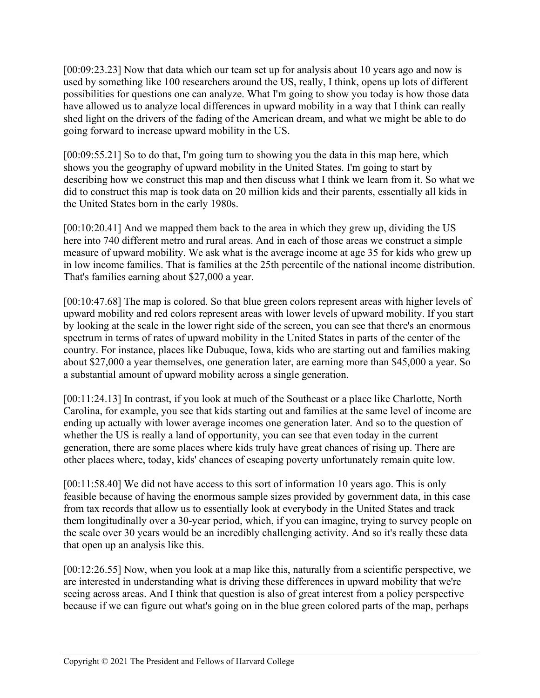[00:09:23.23] Now that data which our team set up for analysis about 10 years ago and now is used by something like 100 researchers around the US, really, I think, opens up lots of different possibilities for questions one can analyze. What I'm going to show you today is how those data have allowed us to analyze local differences in upward mobility in a way that I think can really shed light on the drivers of the fading of the American dream, and what we might be able to do going forward to increase upward mobility in the US.

[00:09:55.21] So to do that, I'm going turn to showing you the data in this map here, which shows you the geography of upward mobility in the United States. I'm going to start by describing how we construct this map and then discuss what I think we learn from it. So what we did to construct this map is took data on 20 million kids and their parents, essentially all kids in the United States born in the early 1980s.

[00:10:20.41] And we mapped them back to the area in which they grew up, dividing the US here into 740 different metro and rural areas. And in each of those areas we construct a simple measure of upward mobility. We ask what is the average income at age 35 for kids who grew up in low income families. That is families at the 25th percentile of the national income distribution. That's families earning about \$27,000 a year.

[00:10:47.68] The map is colored. So that blue green colors represent areas with higher levels of upward mobility and red colors represent areas with lower levels of upward mobility. If you start by looking at the scale in the lower right side of the screen, you can see that there's an enormous spectrum in terms of rates of upward mobility in the United States in parts of the center of the country. For instance, places like Dubuque, Iowa, kids who are starting out and families making about \$27,000 a year themselves, one generation later, are earning more than \$45,000 a year. So a substantial amount of upward mobility across a single generation.

[00:11:24.13] In contrast, if you look at much of the Southeast or a place like Charlotte, North Carolina, for example, you see that kids starting out and families at the same level of income are ending up actually with lower average incomes one generation later. And so to the question of whether the US is really a land of opportunity, you can see that even today in the current generation, there are some places where kids truly have great chances of rising up. There are other places where, today, kids' chances of escaping poverty unfortunately remain quite low.

[00:11:58.40] We did not have access to this sort of information 10 years ago. This is only feasible because of having the enormous sample sizes provided by government data, in this case from tax records that allow us to essentially look at everybody in the United States and track them longitudinally over a 30-year period, which, if you can imagine, trying to survey people on the scale over 30 years would be an incredibly challenging activity. And so it's really these data that open up an analysis like this.

[00:12:26.55] Now, when you look at a map like this, naturally from a scientific perspective, we are interested in understanding what is driving these differences in upward mobility that we're seeing across areas. And I think that question is also of great interest from a policy perspective because if we can figure out what's going on in the blue green colored parts of the map, perhaps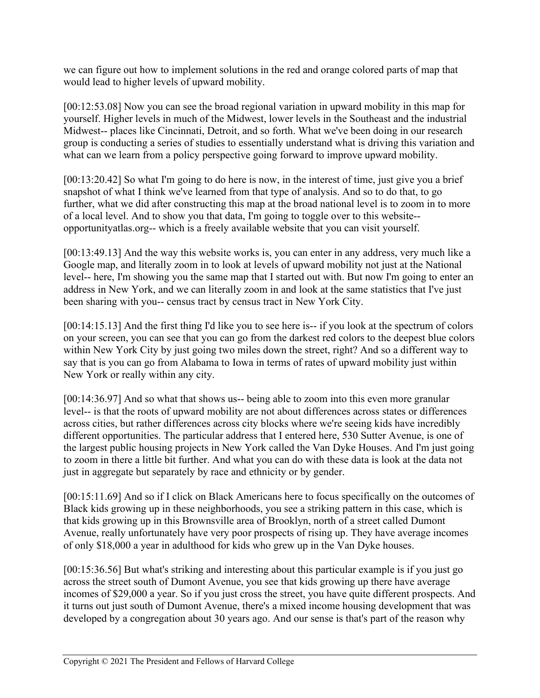we can figure out how to implement solutions in the red and orange colored parts of map that would lead to higher levels of upward mobility.

[00:12:53.08] Now you can see the broad regional variation in upward mobility in this map for yourself. Higher levels in much of the Midwest, lower levels in the Southeast and the industrial Midwest-- places like Cincinnati, Detroit, and so forth. What we've been doing in our research group is conducting a series of studies to essentially understand what is driving this variation and what can we learn from a policy perspective going forward to improve upward mobility.

[00:13:20.42] So what I'm going to do here is now, in the interest of time, just give you a brief snapshot of what I think we've learned from that type of analysis. And so to do that, to go further, what we did after constructing this map at the broad national level is to zoom in to more of a local level. And to show you that data, I'm going to toggle over to this website- opportunityatlas.org-- which is a freely available website that you can visit yourself.

[00:13:49.13] And the way this website works is, you can enter in any address, very much like a Google map, and literally zoom in to look at levels of upward mobility not just at the National level-- here, I'm showing you the same map that I started out with. But now I'm going to enter an address in New York, and we can literally zoom in and look at the same statistics that I've just been sharing with you-- census tract by census tract in New York City.

[00:14:15.13] And the first thing I'd like you to see here is-- if you look at the spectrum of colors on your screen, you can see that you can go from the darkest red colors to the deepest blue colors within New York City by just going two miles down the street, right? And so a different way to say that is you can go from Alabama to Iowa in terms of rates of upward mobility just within New York or really within any city.

[00:14:36.97] And so what that shows us-- being able to zoom into this even more granular level-- is that the roots of upward mobility are not about differences across states or differences across cities, but rather differences across city blocks where we're seeing kids have incredibly different opportunities. The particular address that I entered here, 530 Sutter Avenue, is one of the largest public housing projects in New York called the Van Dyke Houses. And I'm just going to zoom in there a little bit further. And what you can do with these data is look at the data not just in aggregate but separately by race and ethnicity or by gender.

[00:15:11.69] And so if I click on Black Americans here to focus specifically on the outcomes of Black kids growing up in these neighborhoods, you see a striking pattern in this case, which is that kids growing up in this Brownsville area of Brooklyn, north of a street called Dumont Avenue, really unfortunately have very poor prospects of rising up. They have average incomes of only \$18,000 a year in adulthood for kids who grew up in the Van Dyke houses.

[00:15:36.56] But what's striking and interesting about this particular example is if you just go across the street south of Dumont Avenue, you see that kids growing up there have average incomes of \$29,000 a year. So if you just cross the street, you have quite different prospects. And it turns out just south of Dumont Avenue, there's a mixed income housing development that was developed by a congregation about 30 years ago. And our sense is that's part of the reason why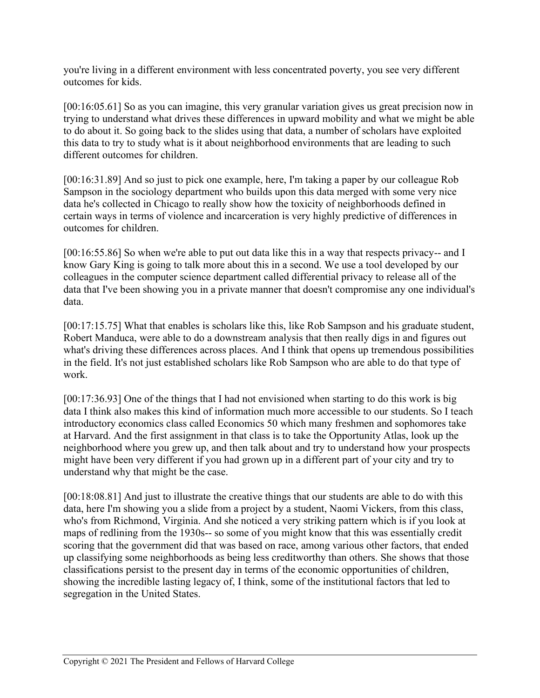you're living in a different environment with less concentrated poverty, you see very different outcomes for kids.

[00:16:05.61] So as you can imagine, this very granular variation gives us great precision now in trying to understand what drives these differences in upward mobility and what we might be able to do about it. So going back to the slides using that data, a number of scholars have exploited this data to try to study what is it about neighborhood environments that are leading to such different outcomes for children.

[00:16:31.89] And so just to pick one example, here, I'm taking a paper by our colleague Rob Sampson in the sociology department who builds upon this data merged with some very nice data he's collected in Chicago to really show how the toxicity of neighborhoods defined in certain ways in terms of violence and incarceration is very highly predictive of differences in outcomes for children.

[00:16:55.86] So when we're able to put out data like this in a way that respects privacy-- and I know Gary King is going to talk more about this in a second. We use a tool developed by our colleagues in the computer science department called differential privacy to release all of the data that I've been showing you in a private manner that doesn't compromise any one individual's data.

[00:17:15.75] What that enables is scholars like this, like Rob Sampson and his graduate student, Robert Manduca, were able to do a downstream analysis that then really digs in and figures out what's driving these differences across places. And I think that opens up tremendous possibilities in the field. It's not just established scholars like Rob Sampson who are able to do that type of work.

[00:17:36.93] One of the things that I had not envisioned when starting to do this work is big data I think also makes this kind of information much more accessible to our students. So I teach introductory economics class called Economics 50 which many freshmen and sophomores take at Harvard. And the first assignment in that class is to take the Opportunity Atlas, look up the neighborhood where you grew up, and then talk about and try to understand how your prospects might have been very different if you had grown up in a different part of your city and try to understand why that might be the case.

[00:18:08.81] And just to illustrate the creative things that our students are able to do with this data, here I'm showing you a slide from a project by a student, Naomi Vickers, from this class, who's from Richmond, Virginia. And she noticed a very striking pattern which is if you look at maps of redlining from the 1930s-- so some of you might know that this was essentially credit scoring that the government did that was based on race, among various other factors, that ended up classifying some neighborhoods as being less creditworthy than others. She shows that those classifications persist to the present day in terms of the economic opportunities of children, showing the incredible lasting legacy of, I think, some of the institutional factors that led to segregation in the United States.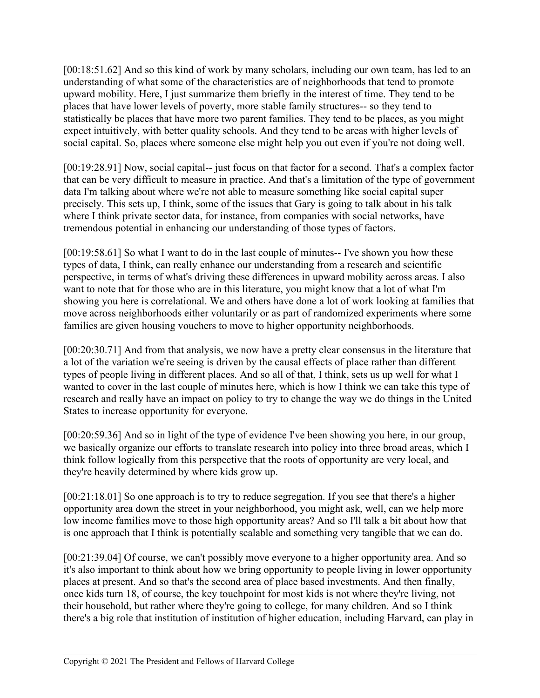[00:18:51.62] And so this kind of work by many scholars, including our own team, has led to an understanding of what some of the characteristics are of neighborhoods that tend to promote upward mobility. Here, I just summarize them briefly in the interest of time. They tend to be places that have lower levels of poverty, more stable family structures-- so they tend to statistically be places that have more two parent families. They tend to be places, as you might expect intuitively, with better quality schools. And they tend to be areas with higher levels of social capital. So, places where someone else might help you out even if you're not doing well.

[00:19:28.91] Now, social capital-- just focus on that factor for a second. That's a complex factor that can be very difficult to measure in practice. And that's a limitation of the type of government data I'm talking about where we're not able to measure something like social capital super precisely. This sets up, I think, some of the issues that Gary is going to talk about in his talk where I think private sector data, for instance, from companies with social networks, have tremendous potential in enhancing our understanding of those types of factors.

[00:19:58.61] So what I want to do in the last couple of minutes-- I've shown you how these types of data, I think, can really enhance our understanding from a research and scientific perspective, in terms of what's driving these differences in upward mobility across areas. I also want to note that for those who are in this literature, you might know that a lot of what I'm showing you here is correlational. We and others have done a lot of work looking at families that move across neighborhoods either voluntarily or as part of randomized experiments where some families are given housing vouchers to move to higher opportunity neighborhoods.

[00:20:30.71] And from that analysis, we now have a pretty clear consensus in the literature that a lot of the variation we're seeing is driven by the causal effects of place rather than different types of people living in different places. And so all of that, I think, sets us up well for what I wanted to cover in the last couple of minutes here, which is how I think we can take this type of research and really have an impact on policy to try to change the way we do things in the United States to increase opportunity for everyone.

[00:20:59.36] And so in light of the type of evidence I've been showing you here, in our group, we basically organize our efforts to translate research into policy into three broad areas, which I think follow logically from this perspective that the roots of opportunity are very local, and they're heavily determined by where kids grow up.

[00:21:18.01] So one approach is to try to reduce segregation. If you see that there's a higher opportunity area down the street in your neighborhood, you might ask, well, can we help more low income families move to those high opportunity areas? And so I'll talk a bit about how that is one approach that I think is potentially scalable and something very tangible that we can do.

[00:21:39.04] Of course, we can't possibly move everyone to a higher opportunity area. And so it's also important to think about how we bring opportunity to people living in lower opportunity places at present. And so that's the second area of place based investments. And then finally, once kids turn 18, of course, the key touchpoint for most kids is not where they're living, not their household, but rather where they're going to college, for many children. And so I think there's a big role that institution of institution of higher education, including Harvard, can play in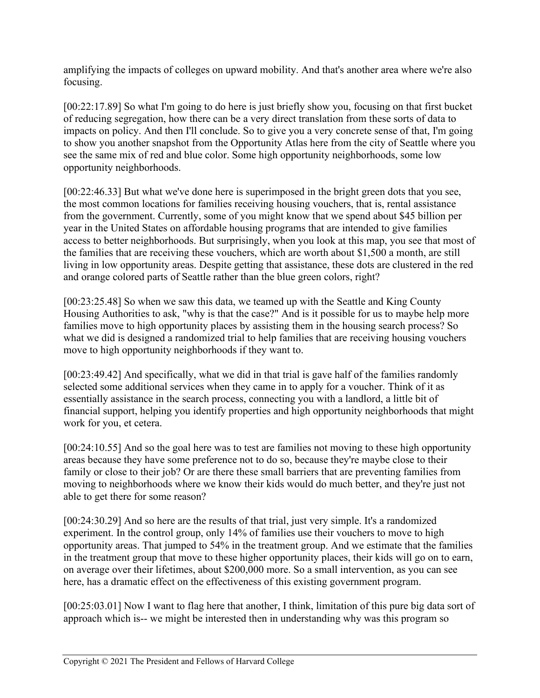amplifying the impacts of colleges on upward mobility. And that's another area where we're also focusing.

[00:22:17.89] So what I'm going to do here is just briefly show you, focusing on that first bucket of reducing segregation, how there can be a very direct translation from these sorts of data to impacts on policy. And then I'll conclude. So to give you a very concrete sense of that, I'm going to show you another snapshot from the Opportunity Atlas here from the city of Seattle where you see the same mix of red and blue color. Some high opportunity neighborhoods, some low opportunity neighborhoods.

[00:22:46.33] But what we've done here is superimposed in the bright green dots that you see, the most common locations for families receiving housing vouchers, that is, rental assistance from the government. Currently, some of you might know that we spend about \$45 billion per year in the United States on affordable housing programs that are intended to give families access to better neighborhoods. But surprisingly, when you look at this map, you see that most of the families that are receiving these vouchers, which are worth about \$1,500 a month, are still living in low opportunity areas. Despite getting that assistance, these dots are clustered in the red and orange colored parts of Seattle rather than the blue green colors, right?

[00:23:25.48] So when we saw this data, we teamed up with the Seattle and King County Housing Authorities to ask, "why is that the case?" And is it possible for us to maybe help more families move to high opportunity places by assisting them in the housing search process? So what we did is designed a randomized trial to help families that are receiving housing vouchers move to high opportunity neighborhoods if they want to.

[00:23:49.42] And specifically, what we did in that trial is gave half of the families randomly selected some additional services when they came in to apply for a voucher. Think of it as essentially assistance in the search process, connecting you with a landlord, a little bit of financial support, helping you identify properties and high opportunity neighborhoods that might work for you, et cetera.

[00:24:10.55] And so the goal here was to test are families not moving to these high opportunity areas because they have some preference not to do so, because they're maybe close to their family or close to their job? Or are there these small barriers that are preventing families from moving to neighborhoods where we know their kids would do much better, and they're just not able to get there for some reason?

[00:24:30.29] And so here are the results of that trial, just very simple. It's a randomized experiment. In the control group, only 14% of families use their vouchers to move to high opportunity areas. That jumped to 54% in the treatment group. And we estimate that the families in the treatment group that move to these higher opportunity places, their kids will go on to earn, on average over their lifetimes, about \$200,000 more. So a small intervention, as you can see here, has a dramatic effect on the effectiveness of this existing government program.

[00:25:03.01] Now I want to flag here that another, I think, limitation of this pure big data sort of approach which is-- we might be interested then in understanding why was this program so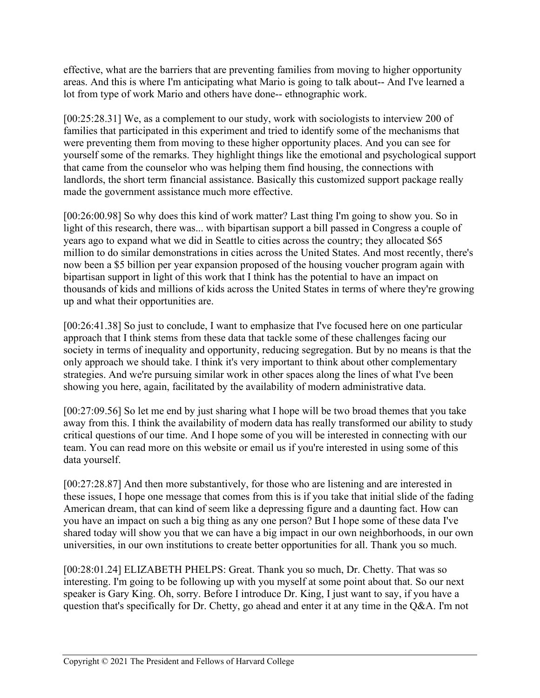effective, what are the barriers that are preventing families from moving to higher opportunity areas. And this is where I'm anticipating what Mario is going to talk about-- And I've learned a lot from type of work Mario and others have done-- ethnographic work.

[00:25:28.31] We, as a complement to our study, work with sociologists to interview 200 of families that participated in this experiment and tried to identify some of the mechanisms that were preventing them from moving to these higher opportunity places. And you can see for yourself some of the remarks. They highlight things like the emotional and psychological support that came from the counselor who was helping them find housing, the connections with landlords, the short term financial assistance. Basically this customized support package really made the government assistance much more effective.

[00:26:00.98] So why does this kind of work matter? Last thing I'm going to show you. So in light of this research, there was... with bipartisan support a bill passed in Congress a couple of years ago to expand what we did in Seattle to cities across the country; they allocated \$65 million to do similar demonstrations in cities across the United States. And most recently, there's now been a \$5 billion per year expansion proposed of the housing voucher program again with bipartisan support in light of this work that I think has the potential to have an impact on thousands of kids and millions of kids across the United States in terms of where they're growing up and what their opportunities are.

[00:26:41.38] So just to conclude, I want to emphasize that I've focused here on one particular approach that I think stems from these data that tackle some of these challenges facing our society in terms of inequality and opportunity, reducing segregation. But by no means is that the only approach we should take. I think it's very important to think about other complementary strategies. And we're pursuing similar work in other spaces along the lines of what I've been showing you here, again, facilitated by the availability of modern administrative data.

[00:27:09.56] So let me end by just sharing what I hope will be two broad themes that you take away from this. I think the availability of modern data has really transformed our ability to study critical questions of our time. And I hope some of you will be interested in connecting with our team. You can read more on this website or email us if you're interested in using some of this data yourself.

[00:27:28.87] And then more substantively, for those who are listening and are interested in these issues, I hope one message that comes from this is if you take that initial slide of the fading American dream, that can kind of seem like a depressing figure and a daunting fact. How can you have an impact on such a big thing as any one person? But I hope some of these data I've shared today will show you that we can have a big impact in our own neighborhoods, in our own universities, in our own institutions to create better opportunities for all. Thank you so much.

[00:28:01.24] ELIZABETH PHELPS: Great. Thank you so much, Dr. Chetty. That was so interesting. I'm going to be following up with you myself at some point about that. So our next speaker is Gary King. Oh, sorry. Before I introduce Dr. King, I just want to say, if you have a question that's specifically for Dr. Chetty, go ahead and enter it at any time in the Q&A. I'm not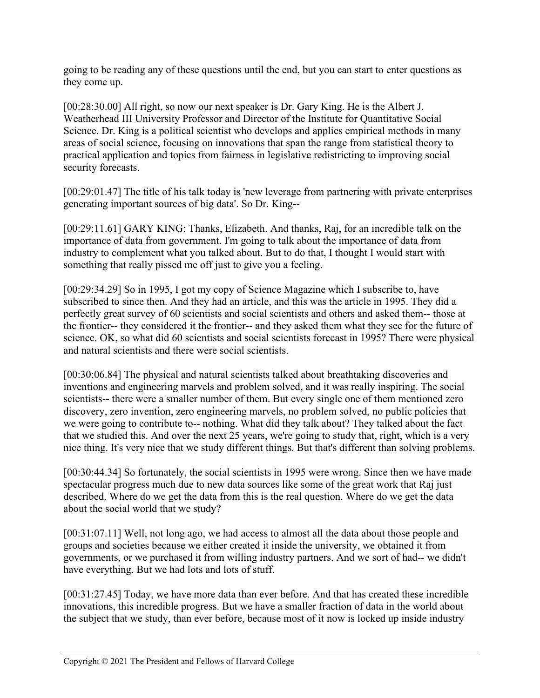going to be reading any of these questions until the end, but you can start to enter questions as they come up.

[00:28:30.00] All right, so now our next speaker is Dr. Gary King. He is the Albert J. Weatherhead III University Professor and Director of the Institute for Quantitative Social Science. Dr. King is a political scientist who develops and applies empirical methods in many areas of social science, focusing on innovations that span the range from statistical theory to practical application and topics from fairness in legislative redistricting to improving social security forecasts.

[00:29:01.47] The title of his talk today is 'new leverage from partnering with private enterprises generating important sources of big data'. So Dr. King--

[00:29:11.61] GARY KING: Thanks, Elizabeth. And thanks, Raj, for an incredible talk on the importance of data from government. I'm going to talk about the importance of data from industry to complement what you talked about. But to do that, I thought I would start with something that really pissed me off just to give you a feeling.

[00:29:34.29] So in 1995, I got my copy of Science Magazine which I subscribe to, have subscribed to since then. And they had an article, and this was the article in 1995. They did a perfectly great survey of 60 scientists and social scientists and others and asked them-- those at the frontier-- they considered it the frontier-- and they asked them what they see for the future of science. OK, so what did 60 scientists and social scientists forecast in 1995? There were physical and natural scientists and there were social scientists.

[00:30:06.84] The physical and natural scientists talked about breathtaking discoveries and inventions and engineering marvels and problem solved, and it was really inspiring. The social scientists-- there were a smaller number of them. But every single one of them mentioned zero discovery, zero invention, zero engineering marvels, no problem solved, no public policies that we were going to contribute to-- nothing. What did they talk about? They talked about the fact that we studied this. And over the next 25 years, we're going to study that, right, which is a very nice thing. It's very nice that we study different things. But that's different than solving problems.

[00:30:44.34] So fortunately, the social scientists in 1995 were wrong. Since then we have made spectacular progress much due to new data sources like some of the great work that Raj just described. Where do we get the data from this is the real question. Where do we get the data about the social world that we study?

[00:31:07.11] Well, not long ago, we had access to almost all the data about those people and groups and societies because we either created it inside the university, we obtained it from governments, or we purchased it from willing industry partners. And we sort of had-- we didn't have everything. But we had lots and lots of stuff.

[00:31:27.45] Today, we have more data than ever before. And that has created these incredible innovations, this incredible progress. But we have a smaller fraction of data in the world about the subject that we study, than ever before, because most of it now is locked up inside industry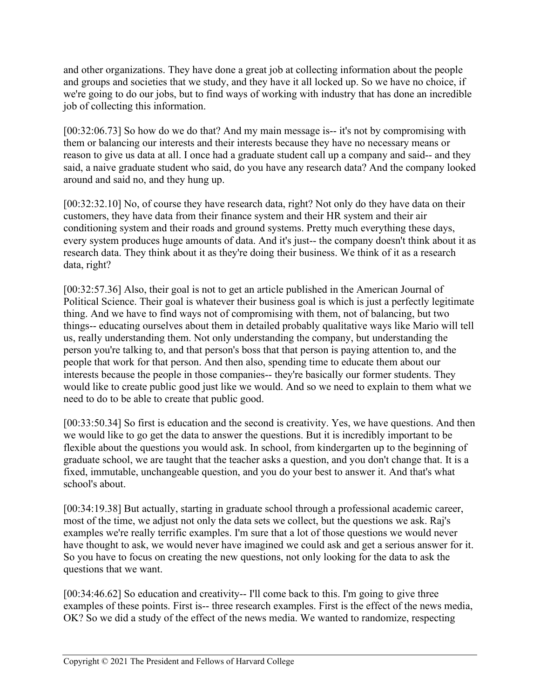and other organizations. They have done a great job at collecting information about the people and groups and societies that we study, and they have it all locked up. So we have no choice, if we're going to do our jobs, but to find ways of working with industry that has done an incredible job of collecting this information.

[00:32:06.73] So how do we do that? And my main message is-- it's not by compromising with them or balancing our interests and their interests because they have no necessary means or reason to give us data at all. I once had a graduate student call up a company and said-- and they said, a naive graduate student who said, do you have any research data? And the company looked around and said no, and they hung up.

[00:32:32.10] No, of course they have research data, right? Not only do they have data on their customers, they have data from their finance system and their HR system and their air conditioning system and their roads and ground systems. Pretty much everything these days, every system produces huge amounts of data. And it's just-- the company doesn't think about it as research data. They think about it as they're doing their business. We think of it as a research data, right?

[00:32:57.36] Also, their goal is not to get an article published in the American Journal of Political Science. Their goal is whatever their business goal is which is just a perfectly legitimate thing. And we have to find ways not of compromising with them, not of balancing, but two things-- educating ourselves about them in detailed probably qualitative ways like Mario will tell us, really understanding them. Not only understanding the company, but understanding the person you're talking to, and that person's boss that that person is paying attention to, and the people that work for that person. And then also, spending time to educate them about our interests because the people in those companies-- they're basically our former students. They would like to create public good just like we would. And so we need to explain to them what we need to do to be able to create that public good.

[00:33:50.34] So first is education and the second is creativity. Yes, we have questions. And then we would like to go get the data to answer the questions. But it is incredibly important to be flexible about the questions you would ask. In school, from kindergarten up to the beginning of graduate school, we are taught that the teacher asks a question, and you don't change that. It is a fixed, immutable, unchangeable question, and you do your best to answer it. And that's what school's about.

[00:34:19.38] But actually, starting in graduate school through a professional academic career, most of the time, we adjust not only the data sets we collect, but the questions we ask. Raj's examples we're really terrific examples. I'm sure that a lot of those questions we would never have thought to ask, we would never have imagined we could ask and get a serious answer for it. So you have to focus on creating the new questions, not only looking for the data to ask the questions that we want.

[00:34:46.62] So education and creativity-- I'll come back to this. I'm going to give three examples of these points. First is-- three research examples. First is the effect of the news media, OK? So we did a study of the effect of the news media. We wanted to randomize, respecting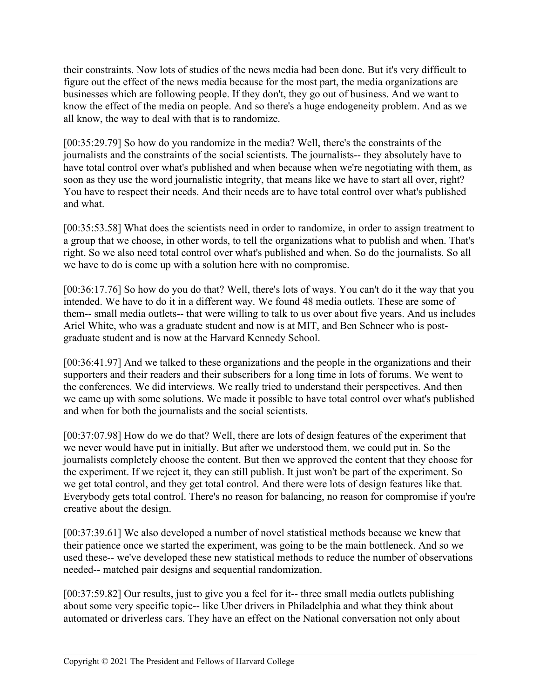their constraints. Now lots of studies of the news media had been done. But it's very difficult to figure out the effect of the news media because for the most part, the media organizations are businesses which are following people. If they don't, they go out of business. And we want to know the effect of the media on people. And so there's a huge endogeneity problem. And as we all know, the way to deal with that is to randomize.

[00:35:29.79] So how do you randomize in the media? Well, there's the constraints of the journalists and the constraints of the social scientists. The journalists-- they absolutely have to have total control over what's published and when because when we're negotiating with them, as soon as they use the word journalistic integrity, that means like we have to start all over, right? You have to respect their needs. And their needs are to have total control over what's published and what.

[00:35:53.58] What does the scientists need in order to randomize, in order to assign treatment to a group that we choose, in other words, to tell the organizations what to publish and when. That's right. So we also need total control over what's published and when. So do the journalists. So all we have to do is come up with a solution here with no compromise.

[00:36:17.76] So how do you do that? Well, there's lots of ways. You can't do it the way that you intended. We have to do it in a different way. We found 48 media outlets. These are some of them-- small media outlets-- that were willing to talk to us over about five years. And us includes Ariel White, who was a graduate student and now is at MIT, and Ben Schneer who is postgraduate student and is now at the Harvard Kennedy School.

[00:36:41.97] And we talked to these organizations and the people in the organizations and their supporters and their readers and their subscribers for a long time in lots of forums. We went to the conferences. We did interviews. We really tried to understand their perspectives. And then we came up with some solutions. We made it possible to have total control over what's published and when for both the journalists and the social scientists.

[00:37:07.98] How do we do that? Well, there are lots of design features of the experiment that we never would have put in initially. But after we understood them, we could put in. So the journalists completely choose the content. But then we approved the content that they choose for the experiment. If we reject it, they can still publish. It just won't be part of the experiment. So we get total control, and they get total control. And there were lots of design features like that. Everybody gets total control. There's no reason for balancing, no reason for compromise if you're creative about the design.

[00:37:39.61] We also developed a number of novel statistical methods because we knew that their patience once we started the experiment, was going to be the main bottleneck. And so we used these-- we've developed these new statistical methods to reduce the number of observations needed-- matched pair designs and sequential randomization.

[00:37:59.82] Our results, just to give you a feel for it-- three small media outlets publishing about some very specific topic-- like Uber drivers in Philadelphia and what they think about automated or driverless cars. They have an effect on the National conversation not only about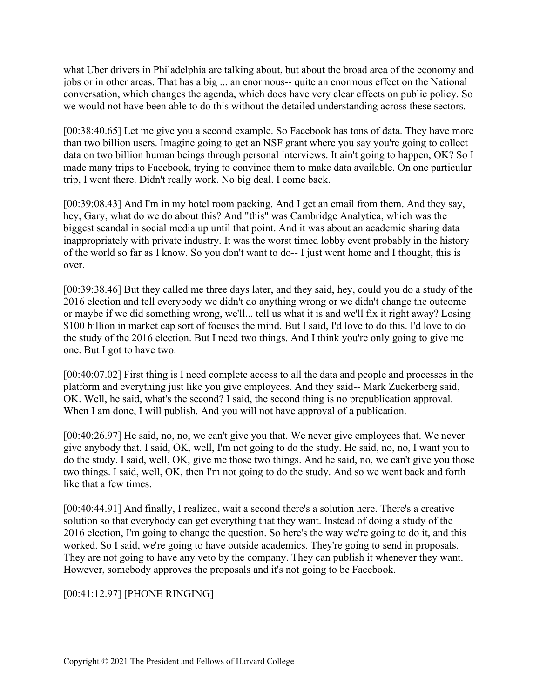what Uber drivers in Philadelphia are talking about, but about the broad area of the economy and jobs or in other areas. That has a big ... an enormous-- quite an enormous effect on the National conversation, which changes the agenda, which does have very clear effects on public policy. So we would not have been able to do this without the detailed understanding across these sectors.

[00:38:40.65] Let me give you a second example. So Facebook has tons of data. They have more than two billion users. Imagine going to get an NSF grant where you say you're going to collect data on two billion human beings through personal interviews. It ain't going to happen, OK? So I made many trips to Facebook, trying to convince them to make data available. On one particular trip, I went there. Didn't really work. No big deal. I come back.

[00:39:08.43] And I'm in my hotel room packing. And I get an email from them. And they say, hey, Gary, what do we do about this? And "this" was Cambridge Analytica, which was the biggest scandal in social media up until that point. And it was about an academic sharing data inappropriately with private industry. It was the worst timed lobby event probably in the history of the world so far as I know. So you don't want to do-- I just went home and I thought, this is over.

[00:39:38.46] But they called me three days later, and they said, hey, could you do a study of the 2016 election and tell everybody we didn't do anything wrong or we didn't change the outcome or maybe if we did something wrong, we'll... tell us what it is and we'll fix it right away? Losing \$100 billion in market cap sort of focuses the mind. But I said, I'd love to do this. I'd love to do the study of the 2016 election. But I need two things. And I think you're only going to give me one. But I got to have two.

[00:40:07.02] First thing is I need complete access to all the data and people and processes in the platform and everything just like you give employees. And they said-- Mark Zuckerberg said, OK. Well, he said, what's the second? I said, the second thing is no prepublication approval. When I am done, I will publish. And you will not have approval of a publication.

[00:40:26.97] He said, no, no, we can't give you that. We never give employees that. We never give anybody that. I said, OK, well, I'm not going to do the study. He said, no, no, I want you to do the study. I said, well, OK, give me those two things. And he said, no, we can't give you those two things. I said, well, OK, then I'm not going to do the study. And so we went back and forth like that a few times.

[00:40:44.91] And finally, I realized, wait a second there's a solution here. There's a creative solution so that everybody can get everything that they want. Instead of doing a study of the 2016 election, I'm going to change the question. So here's the way we're going to do it, and this worked. So I said, we're going to have outside academics. They're going to send in proposals. They are not going to have any veto by the company. They can publish it whenever they want. However, somebody approves the proposals and it's not going to be Facebook.

## [00:41:12.97] [PHONE RINGING]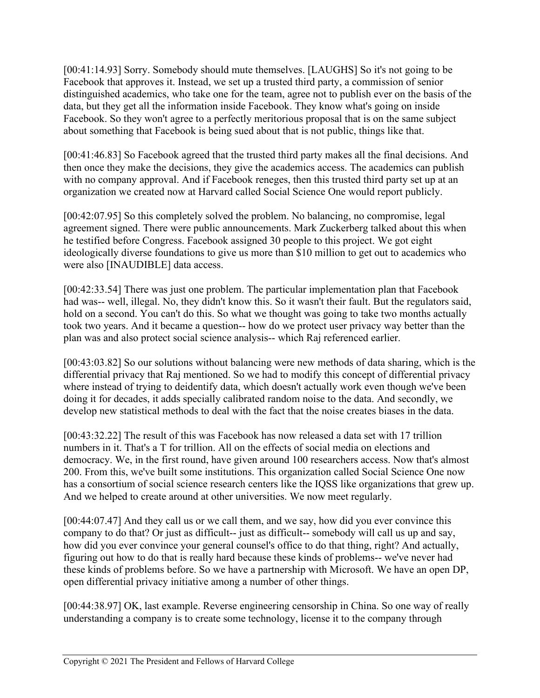[00:41:14.93] Sorry. Somebody should mute themselves. [LAUGHS] So it's not going to be Facebook that approves it. Instead, we set up a trusted third party, a commission of senior distinguished academics, who take one for the team, agree not to publish ever on the basis of the data, but they get all the information inside Facebook. They know what's going on inside Facebook. So they won't agree to a perfectly meritorious proposal that is on the same subject about something that Facebook is being sued about that is not public, things like that.

[00:41:46.83] So Facebook agreed that the trusted third party makes all the final decisions. And then once they make the decisions, they give the academics access. The academics can publish with no company approval. And if Facebook reneges, then this trusted third party set up at an organization we created now at Harvard called Social Science One would report publicly.

[00:42:07.95] So this completely solved the problem. No balancing, no compromise, legal agreement signed. There were public announcements. Mark Zuckerberg talked about this when he testified before Congress. Facebook assigned 30 people to this project. We got eight ideologically diverse foundations to give us more than \$10 million to get out to academics who were also [INAUDIBLE] data access.

[00:42:33.54] There was just one problem. The particular implementation plan that Facebook had was-- well, illegal. No, they didn't know this. So it wasn't their fault. But the regulators said, hold on a second. You can't do this. So what we thought was going to take two months actually took two years. And it became a question-- how do we protect user privacy way better than the plan was and also protect social science analysis-- which Raj referenced earlier.

[00:43:03.82] So our solutions without balancing were new methods of data sharing, which is the differential privacy that Raj mentioned. So we had to modify this concept of differential privacy where instead of trying to deidentify data, which doesn't actually work even though we've been doing it for decades, it adds specially calibrated random noise to the data. And secondly, we develop new statistical methods to deal with the fact that the noise creates biases in the data.

[00:43:32.22] The result of this was Facebook has now released a data set with 17 trillion numbers in it. That's a T for trillion. All on the effects of social media on elections and democracy. We, in the first round, have given around 100 researchers access. Now that's almost 200. From this, we've built some institutions. This organization called Social Science One now has a consortium of social science research centers like the IQSS like organizations that grew up. And we helped to create around at other universities. We now meet regularly.

[00:44:07.47] And they call us or we call them, and we say, how did you ever convince this company to do that? Or just as difficult-- just as difficult-- somebody will call us up and say, how did you ever convince your general counsel's office to do that thing, right? And actually, figuring out how to do that is really hard because these kinds of problems-- we've never had these kinds of problems before. So we have a partnership with Microsoft. We have an open DP, open differential privacy initiative among a number of other things.

[00:44:38.97] OK, last example. Reverse engineering censorship in China. So one way of really understanding a company is to create some technology, license it to the company through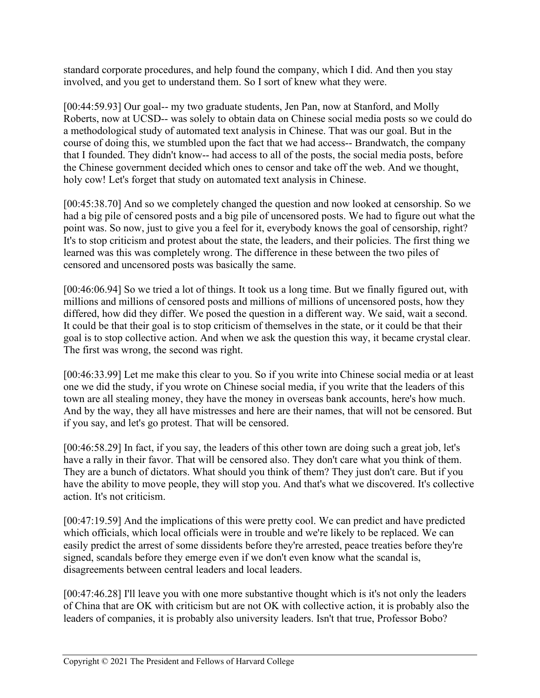standard corporate procedures, and help found the company, which I did. And then you stay involved, and you get to understand them. So I sort of knew what they were.

[00:44:59.93] Our goal-- my two graduate students, Jen Pan, now at Stanford, and Molly Roberts, now at UCSD-- was solely to obtain data on Chinese social media posts so we could do a methodological study of automated text analysis in Chinese. That was our goal. But in the course of doing this, we stumbled upon the fact that we had access-- Brandwatch, the company that I founded. They didn't know-- had access to all of the posts, the social media posts, before the Chinese government decided which ones to censor and take off the web. And we thought, holy cow! Let's forget that study on automated text analysis in Chinese.

[00:45:38.70] And so we completely changed the question and now looked at censorship. So we had a big pile of censored posts and a big pile of uncensored posts. We had to figure out what the point was. So now, just to give you a feel for it, everybody knows the goal of censorship, right? It's to stop criticism and protest about the state, the leaders, and their policies. The first thing we learned was this was completely wrong. The difference in these between the two piles of censored and uncensored posts was basically the same.

[00:46:06.94] So we tried a lot of things. It took us a long time. But we finally figured out, with millions and millions of censored posts and millions of millions of uncensored posts, how they differed, how did they differ. We posed the question in a different way. We said, wait a second. It could be that their goal is to stop criticism of themselves in the state, or it could be that their goal is to stop collective action. And when we ask the question this way, it became crystal clear. The first was wrong, the second was right.

[00:46:33.99] Let me make this clear to you. So if you write into Chinese social media or at least one we did the study, if you wrote on Chinese social media, if you write that the leaders of this town are all stealing money, they have the money in overseas bank accounts, here's how much. And by the way, they all have mistresses and here are their names, that will not be censored. But if you say, and let's go protest. That will be censored.

[00:46:58.29] In fact, if you say, the leaders of this other town are doing such a great job, let's have a rally in their favor. That will be censored also. They don't care what you think of them. They are a bunch of dictators. What should you think of them? They just don't care. But if you have the ability to move people, they will stop you. And that's what we discovered. It's collective action. It's not criticism.

[00:47:19.59] And the implications of this were pretty cool. We can predict and have predicted which officials, which local officials were in trouble and we're likely to be replaced. We can easily predict the arrest of some dissidents before they're arrested, peace treaties before they're signed, scandals before they emerge even if we don't even know what the scandal is, disagreements between central leaders and local leaders.

[00:47:46.28] I'll leave you with one more substantive thought which is it's not only the leaders of China that are OK with criticism but are not OK with collective action, it is probably also the leaders of companies, it is probably also university leaders. Isn't that true, Professor Bobo?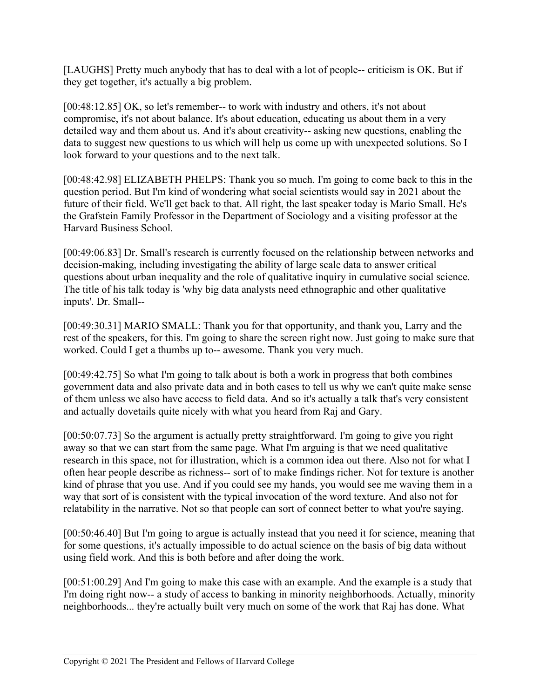[LAUGHS] Pretty much anybody that has to deal with a lot of people-- criticism is OK. But if they get together, it's actually a big problem.

[00:48:12.85] OK, so let's remember-- to work with industry and others, it's not about compromise, it's not about balance. It's about education, educating us about them in a very detailed way and them about us. And it's about creativity-- asking new questions, enabling the data to suggest new questions to us which will help us come up with unexpected solutions. So I look forward to your questions and to the next talk.

[00:48:42.98] ELIZABETH PHELPS: Thank you so much. I'm going to come back to this in the question period. But I'm kind of wondering what social scientists would say in 2021 about the future of their field. We'll get back to that. All right, the last speaker today is Mario Small. He's the Grafstein Family Professor in the Department of Sociology and a visiting professor at the Harvard Business School.

[00:49:06.83] Dr. Small's research is currently focused on the relationship between networks and decision-making, including investigating the ability of large scale data to answer critical questions about urban inequality and the role of qualitative inquiry in cumulative social science. The title of his talk today is 'why big data analysts need ethnographic and other qualitative inputs'. Dr. Small--

[00:49:30.31] MARIO SMALL: Thank you for that opportunity, and thank you, Larry and the rest of the speakers, for this. I'm going to share the screen right now. Just going to make sure that worked. Could I get a thumbs up to-- awesome. Thank you very much.

[00:49:42.75] So what I'm going to talk about is both a work in progress that both combines government data and also private data and in both cases to tell us why we can't quite make sense of them unless we also have access to field data. And so it's actually a talk that's very consistent and actually dovetails quite nicely with what you heard from Raj and Gary.

[00:50:07.73] So the argument is actually pretty straightforward. I'm going to give you right away so that we can start from the same page. What I'm arguing is that we need qualitative research in this space, not for illustration, which is a common idea out there. Also not for what I often hear people describe as richness-- sort of to make findings richer. Not for texture is another kind of phrase that you use. And if you could see my hands, you would see me waving them in a way that sort of is consistent with the typical invocation of the word texture. And also not for relatability in the narrative. Not so that people can sort of connect better to what you're saying.

[00:50:46.40] But I'm going to argue is actually instead that you need it for science, meaning that for some questions, it's actually impossible to do actual science on the basis of big data without using field work. And this is both before and after doing the work.

[00:51:00.29] And I'm going to make this case with an example. And the example is a study that I'm doing right now-- a study of access to banking in minority neighborhoods. Actually, minority neighborhoods... they're actually built very much on some of the work that Raj has done. What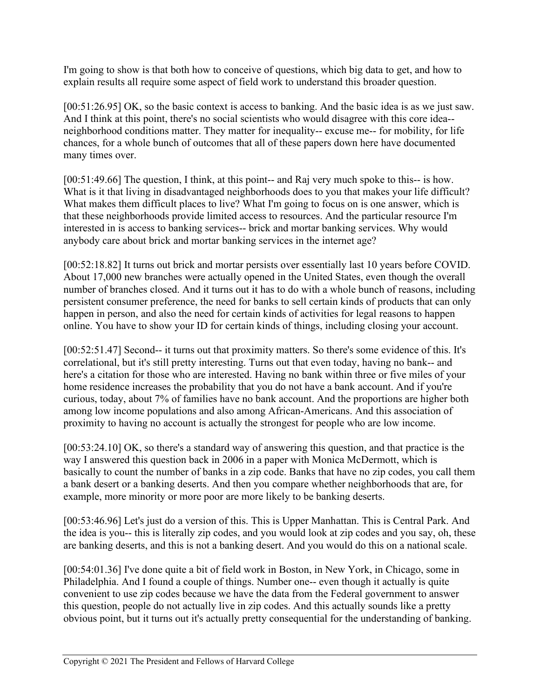I'm going to show is that both how to conceive of questions, which big data to get, and how to explain results all require some aspect of field work to understand this broader question.

[00:51:26.95] OK, so the basic context is access to banking. And the basic idea is as we just saw. And I think at this point, there's no social scientists who would disagree with this core idea- neighborhood conditions matter. They matter for inequality-- excuse me-- for mobility, for life chances, for a whole bunch of outcomes that all of these papers down here have documented many times over.

[00:51:49.66] The question, I think, at this point-- and Raj very much spoke to this-- is how. What is it that living in disadvantaged neighborhoods does to you that makes your life difficult? What makes them difficult places to live? What I'm going to focus on is one answer, which is that these neighborhoods provide limited access to resources. And the particular resource I'm interested in is access to banking services-- brick and mortar banking services. Why would anybody care about brick and mortar banking services in the internet age?

[00:52:18.82] It turns out brick and mortar persists over essentially last 10 years before COVID. About 17,000 new branches were actually opened in the United States, even though the overall number of branches closed. And it turns out it has to do with a whole bunch of reasons, including persistent consumer preference, the need for banks to sell certain kinds of products that can only happen in person, and also the need for certain kinds of activities for legal reasons to happen online. You have to show your ID for certain kinds of things, including closing your account.

[00:52:51.47] Second-- it turns out that proximity matters. So there's some evidence of this. It's correlational, but it's still pretty interesting. Turns out that even today, having no bank-- and here's a citation for those who are interested. Having no bank within three or five miles of your home residence increases the probability that you do not have a bank account. And if you're curious, today, about 7% of families have no bank account. And the proportions are higher both among low income populations and also among African-Americans. And this association of proximity to having no account is actually the strongest for people who are low income.

[00:53:24.10] OK, so there's a standard way of answering this question, and that practice is the way I answered this question back in 2006 in a paper with Monica McDermott, which is basically to count the number of banks in a zip code. Banks that have no zip codes, you call them a bank desert or a banking deserts. And then you compare whether neighborhoods that are, for example, more minority or more poor are more likely to be banking deserts.

[00:53:46.96] Let's just do a version of this. This is Upper Manhattan. This is Central Park. And the idea is you-- this is literally zip codes, and you would look at zip codes and you say, oh, these are banking deserts, and this is not a banking desert. And you would do this on a national scale.

[00:54:01.36] I've done quite a bit of field work in Boston, in New York, in Chicago, some in Philadelphia. And I found a couple of things. Number one-- even though it actually is quite convenient to use zip codes because we have the data from the Federal government to answer this question, people do not actually live in zip codes. And this actually sounds like a pretty obvious point, but it turns out it's actually pretty consequential for the understanding of banking.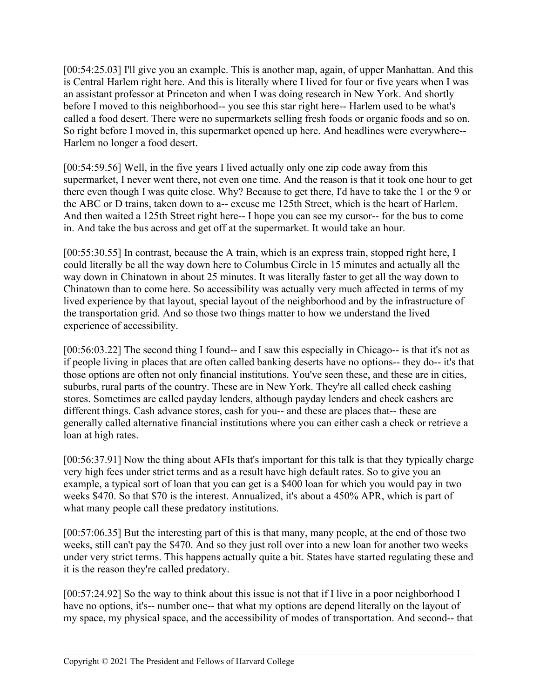[00:54:25.03] I'll give you an example. This is another map, again, of upper Manhattan. And this is Central Harlem right here. And this is literally where I lived for four or five years when I was an assistant professor at Princeton and when I was doing research in New York. And shortly before I moved to this neighborhood-- you see this star right here-- Harlem used to be what's called a food desert. There were no supermarkets selling fresh foods or organic foods and so on. So right before I moved in, this supermarket opened up here. And headlines were everywhere-- Harlem no longer a food desert.

[00:54:59.56] Well, in the five years I lived actually only one zip code away from this supermarket, I never went there, not even one time. And the reason is that it took one hour to get there even though I was quite close. Why? Because to get there, I'd have to take the 1 or the 9 or the ABC or D trains, taken down to a-- excuse me 125th Street, which is the heart of Harlem. And then waited a 125th Street right here-- I hope you can see my cursor-- for the bus to come in. And take the bus across and get off at the supermarket. It would take an hour.

[00:55:30.55] In contrast, because the A train, which is an express train, stopped right here, I could literally be all the way down here to Columbus Circle in 15 minutes and actually all the way down in Chinatown in about 25 minutes. It was literally faster to get all the way down to Chinatown than to come here. So accessibility was actually very much affected in terms of my lived experience by that layout, special layout of the neighborhood and by the infrastructure of the transportation grid. And so those two things matter to how we understand the lived experience of accessibility.

[00:56:03.22] The second thing I found-- and I saw this especially in Chicago-- is that it's not as if people living in places that are often called banking deserts have no options-- they do-- it's that those options are often not only financial institutions. You've seen these, and these are in cities, suburbs, rural parts of the country. These are in New York. They're all called check cashing stores. Sometimes are called payday lenders, although payday lenders and check cashers are different things. Cash advance stores, cash for you-- and these are places that-- these are generally called alternative financial institutions where you can either cash a check or retrieve a loan at high rates.

[00:56:37.91] Now the thing about AFIs that's important for this talk is that they typically charge very high fees under strict terms and as a result have high default rates. So to give you an example, a typical sort of loan that you can get is a \$400 loan for which you would pay in two weeks \$470. So that \$70 is the interest. Annualized, it's about a 450% APR, which is part of what many people call these predatory institutions.

[00:57:06.35] But the interesting part of this is that many, many people, at the end of those two weeks, still can't pay the \$470. And so they just roll over into a new loan for another two weeks under very strict terms. This happens actually quite a bit. States have started regulating these and it is the reason they're called predatory.

[00:57:24.92] So the way to think about this issue is not that if I live in a poor neighborhood I have no options, it's-- number one-- that what my options are depend literally on the layout of my space, my physical space, and the accessibility of modes of transportation. And second-- that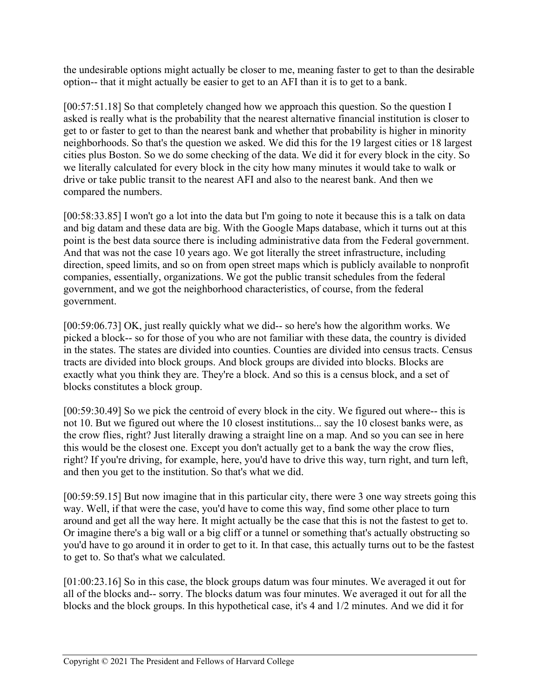the undesirable options might actually be closer to me, meaning faster to get to than the desirable option-- that it might actually be easier to get to an AFI than it is to get to a bank.

[00:57:51.18] So that completely changed how we approach this question. So the question I asked is really what is the probability that the nearest alternative financial institution is closer to get to or faster to get to than the nearest bank and whether that probability is higher in minority neighborhoods. So that's the question we asked. We did this for the 19 largest cities or 18 largest cities plus Boston. So we do some checking of the data. We did it for every block in the city. So we literally calculated for every block in the city how many minutes it would take to walk or drive or take public transit to the nearest AFI and also to the nearest bank. And then we compared the numbers.

[00:58:33.85] I won't go a lot into the data but I'm going to note it because this is a talk on data and big datam and these data are big. With the Google Maps database, which it turns out at this point is the best data source there is including administrative data from the Federal government. And that was not the case 10 years ago. We got literally the street infrastructure, including direction, speed limits, and so on from open street maps which is publicly available to nonprofit companies, essentially, organizations. We got the public transit schedules from the federal government, and we got the neighborhood characteristics, of course, from the federal government.

[00:59:06.73] OK, just really quickly what we did-- so here's how the algorithm works. We picked a block-- so for those of you who are not familiar with these data, the country is divided in the states. The states are divided into counties. Counties are divided into census tracts. Census tracts are divided into block groups. And block groups are divided into blocks. Blocks are exactly what you think they are. They're a block. And so this is a census block, and a set of blocks constitutes a block group.

[00:59:30.49] So we pick the centroid of every block in the city. We figured out where-- this is not 10. But we figured out where the 10 closest institutions... say the 10 closest banks were, as the crow flies, right? Just literally drawing a straight line on a map. And so you can see in here this would be the closest one. Except you don't actually get to a bank the way the crow flies, right? If you're driving, for example, here, you'd have to drive this way, turn right, and turn left, and then you get to the institution. So that's what we did.

[00:59:59.15] But now imagine that in this particular city, there were 3 one way streets going this way. Well, if that were the case, you'd have to come this way, find some other place to turn around and get all the way here. It might actually be the case that this is not the fastest to get to. Or imagine there's a big wall or a big cliff or a tunnel or something that's actually obstructing so you'd have to go around it in order to get to it. In that case, this actually turns out to be the fastest to get to. So that's what we calculated.

[01:00:23.16] So in this case, the block groups datum was four minutes. We averaged it out for all of the blocks and-- sorry. The blocks datum was four minutes. We averaged it out for all the blocks and the block groups. In this hypothetical case, it's 4 and 1/2 minutes. And we did it for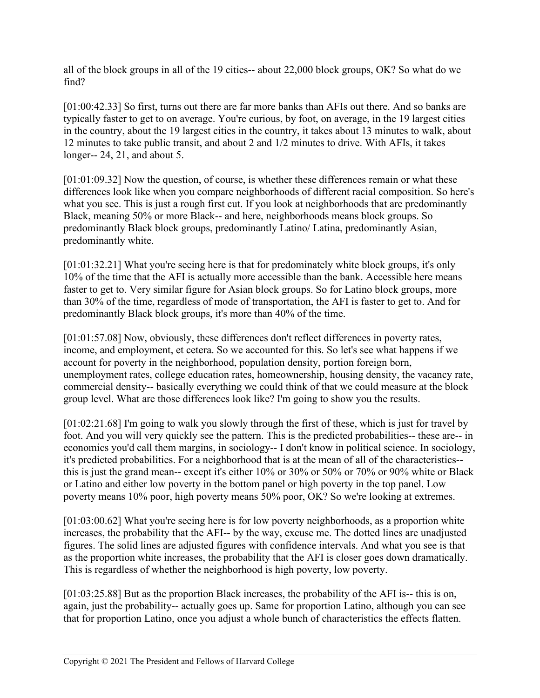all of the block groups in all of the 19 cities-- about 22,000 block groups, OK? So what do we find?

[01:00:42.33] So first, turns out there are far more banks than AFIs out there. And so banks are typically faster to get to on average. You're curious, by foot, on average, in the 19 largest cities in the country, about the 19 largest cities in the country, it takes about 13 minutes to walk, about 12 minutes to take public transit, and about 2 and 1/2 minutes to drive. With AFIs, it takes longer-- 24, 21, and about 5.

[01:01:09.32] Now the question, of course, is whether these differences remain or what these differences look like when you compare neighborhoods of different racial composition. So here's what you see. This is just a rough first cut. If you look at neighborhoods that are predominantly Black, meaning 50% or more Black-- and here, neighborhoods means block groups. So predominantly Black block groups, predominantly Latino/ Latina, predominantly Asian, predominantly white.

[01:01:32.21] What you're seeing here is that for predominately white block groups, it's only 10% of the time that the AFI is actually more accessible than the bank. Accessible here means faster to get to. Very similar figure for Asian block groups. So for Latino block groups, more than 30% of the time, regardless of mode of transportation, the AFI is faster to get to. And for predominantly Black block groups, it's more than 40% of the time.

[01:01:57.08] Now, obviously, these differences don't reflect differences in poverty rates, income, and employment, et cetera. So we accounted for this. So let's see what happens if we account for poverty in the neighborhood, population density, portion foreign born, unemployment rates, college education rates, homeownership, housing density, the vacancy rate, commercial density-- basically everything we could think of that we could measure at the block group level. What are those differences look like? I'm going to show you the results.

[01:02:21.68] I'm going to walk you slowly through the first of these, which is just for travel by foot. And you will very quickly see the pattern. This is the predicted probabilities-- these are-- in economics you'd call them margins, in sociology-- I don't know in political science. In sociology, it's predicted probabilities. For a neighborhood that is at the mean of all of the characteristics- this is just the grand mean-- except it's either 10% or 30% or 50% or 70% or 90% white or Black or Latino and either low poverty in the bottom panel or high poverty in the top panel. Low poverty means 10% poor, high poverty means 50% poor, OK? So we're looking at extremes.

[01:03:00.62] What you're seeing here is for low poverty neighborhoods, as a proportion white increases, the probability that the AFI-- by the way, excuse me. The dotted lines are unadjusted figures. The solid lines are adjusted figures with confidence intervals. And what you see is that as the proportion white increases, the probability that the AFI is closer goes down dramatically. This is regardless of whether the neighborhood is high poverty, low poverty.

[01:03:25.88] But as the proportion Black increases, the probability of the AFI is-- this is on, again, just the probability-- actually goes up. Same for proportion Latino, although you can see that for proportion Latino, once you adjust a whole bunch of characteristics the effects flatten.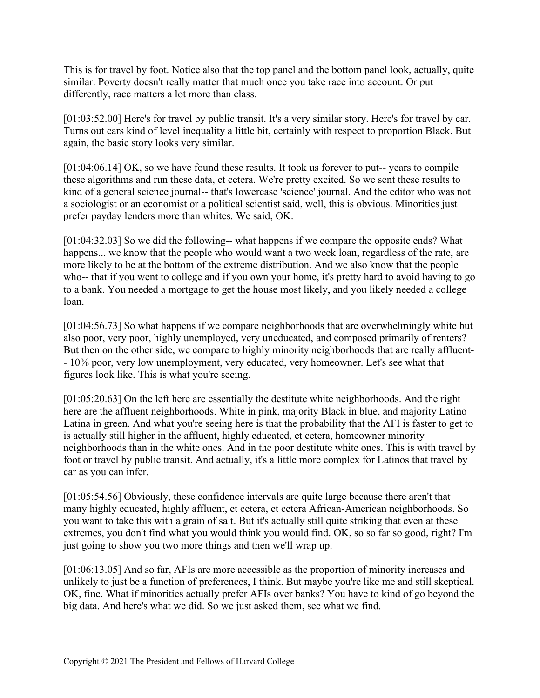This is for travel by foot. Notice also that the top panel and the bottom panel look, actually, quite similar. Poverty doesn't really matter that much once you take race into account. Or put differently, race matters a lot more than class.

[01:03:52.00] Here's for travel by public transit. It's a very similar story. Here's for travel by car. Turns out cars kind of level inequality a little bit, certainly with respect to proportion Black. But again, the basic story looks very similar.

[01:04:06.14] OK, so we have found these results. It took us forever to put-- years to compile these algorithms and run these data, et cetera. We're pretty excited. So we sent these results to kind of a general science journal-- that's lowercase 'science' journal. And the editor who was not a sociologist or an economist or a political scientist said, well, this is obvious. Minorities just prefer payday lenders more than whites. We said, OK.

[01:04:32.03] So we did the following-- what happens if we compare the opposite ends? What happens... we know that the people who would want a two week loan, regardless of the rate, are more likely to be at the bottom of the extreme distribution. And we also know that the people who-- that if you went to college and if you own your home, it's pretty hard to avoid having to go to a bank. You needed a mortgage to get the house most likely, and you likely needed a college loan.

[01:04:56.73] So what happens if we compare neighborhoods that are overwhelmingly white but also poor, very poor, highly unemployed, very uneducated, and composed primarily of renters? But then on the other side, we compare to highly minority neighborhoods that are really affluent- - 10% poor, very low unemployment, very educated, very homeowner. Let's see what that figures look like. This is what you're seeing.

[01:05:20.63] On the left here are essentially the destitute white neighborhoods. And the right here are the affluent neighborhoods. White in pink, majority Black in blue, and majority Latino Latina in green. And what you're seeing here is that the probability that the AFI is faster to get to is actually still higher in the affluent, highly educated, et cetera, homeowner minority neighborhoods than in the white ones. And in the poor destitute white ones. This is with travel by foot or travel by public transit. And actually, it's a little more complex for Latinos that travel by car as you can infer.

[01:05:54.56] Obviously, these confidence intervals are quite large because there aren't that many highly educated, highly affluent, et cetera, et cetera African-American neighborhoods. So you want to take this with a grain of salt. But it's actually still quite striking that even at these extremes, you don't find what you would think you would find. OK, so so far so good, right? I'm just going to show you two more things and then we'll wrap up.

[01:06:13.05] And so far, AFIs are more accessible as the proportion of minority increases and unlikely to just be a function of preferences, I think. But maybe you're like me and still skeptical. OK, fine. What if minorities actually prefer AFIs over banks? You have to kind of go beyond the big data. And here's what we did. So we just asked them, see what we find.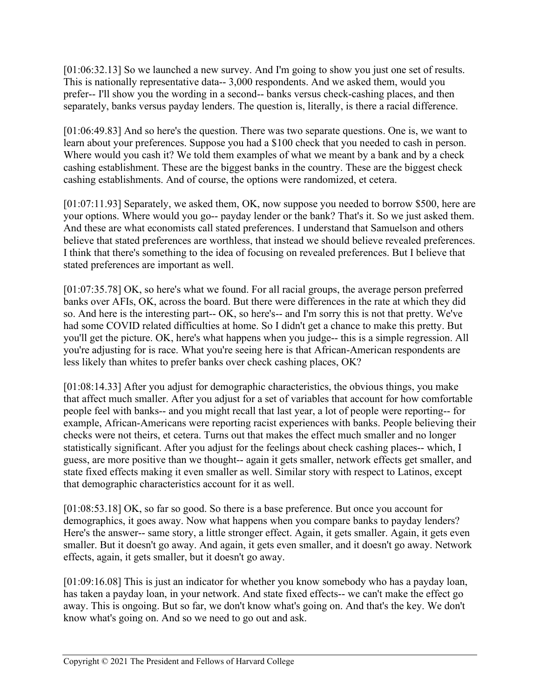[01:06:32.13] So we launched a new survey. And I'm going to show you just one set of results. This is nationally representative data-- 3,000 respondents. And we asked them, would you prefer-- I'll show you the wording in a second-- banks versus check-cashing places, and then separately, banks versus payday lenders. The question is, literally, is there a racial difference.

[01:06:49.83] And so here's the question. There was two separate questions. One is, we want to learn about your preferences. Suppose you had a \$100 check that you needed to cash in person. Where would you cash it? We told them examples of what we meant by a bank and by a check cashing establishment. These are the biggest banks in the country. These are the biggest check cashing establishments. And of course, the options were randomized, et cetera.

[01:07:11.93] Separately, we asked them, OK, now suppose you needed to borrow \$500, here are your options. Where would you go-- payday lender or the bank? That's it. So we just asked them. And these are what economists call stated preferences. I understand that Samuelson and others believe that stated preferences are worthless, that instead we should believe revealed preferences. I think that there's something to the idea of focusing on revealed preferences. But I believe that stated preferences are important as well.

[01:07:35.78] OK, so here's what we found. For all racial groups, the average person preferred banks over AFIs, OK, across the board. But there were differences in the rate at which they did so. And here is the interesting part-- OK, so here's-- and I'm sorry this is not that pretty. We've had some COVID related difficulties at home. So I didn't get a chance to make this pretty. But you'll get the picture. OK, here's what happens when you judge-- this is a simple regression. All you're adjusting for is race. What you're seeing here is that African-American respondents are less likely than whites to prefer banks over check cashing places, OK?

[01:08:14.33] After you adjust for demographic characteristics, the obvious things, you make that affect much smaller. After you adjust for a set of variables that account for how comfortable people feel with banks-- and you might recall that last year, a lot of people were reporting-- for example, African-Americans were reporting racist experiences with banks. People believing their checks were not theirs, et cetera. Turns out that makes the effect much smaller and no longer statistically significant. After you adjust for the feelings about check cashing places-- which, I guess, are more positive than we thought-- again it gets smaller, network effects get smaller, and state fixed effects making it even smaller as well. Similar story with respect to Latinos, except that demographic characteristics account for it as well.

[01:08:53.18] OK, so far so good. So there is a base preference. But once you account for demographics, it goes away. Now what happens when you compare banks to payday lenders? Here's the answer-- same story, a little stronger effect. Again, it gets smaller. Again, it gets even smaller. But it doesn't go away. And again, it gets even smaller, and it doesn't go away. Network effects, again, it gets smaller, but it doesn't go away.

[01:09:16.08] This is just an indicator for whether you know somebody who has a payday loan, has taken a payday loan, in your network. And state fixed effects-- we can't make the effect go away. This is ongoing. But so far, we don't know what's going on. And that's the key. We don't know what's going on. And so we need to go out and ask.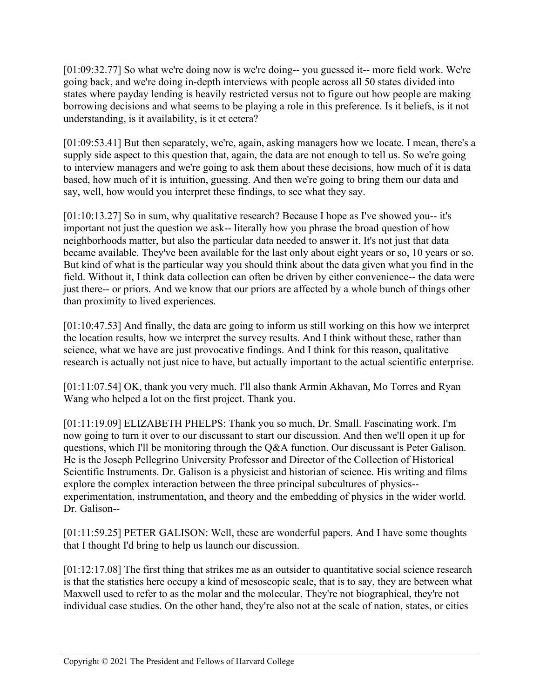[01:09:32.77] So what we're doing now is we're doing-- you guessed it-- more field work. We're going back, and we're doing in-depth interviews with people across all 50 states divided into states where payday lending is heavily restricted versus not to figure out how people are making borrowing decisions and what seems to be playing a role in this preference. Is it beliefs, is it not understanding, is it availability, is it et cetera?

[01:09:53.41] But then separately, we're, again, asking managers how we locate. I mean, there's a supply side aspect to this question that, again, the data are not enough to tell us. So we're going to interview managers and we're going to ask them about these decisions, how much of it is data based, how much of it is intuition, guessing. And then we're going to bring them our data and say, well, how would you interpret these findings, to see what they say.

[01:10:13.27] So in sum, why qualitative research? Because I hope as I've showed you-- it's important not just the question we ask-- literally how you phrase the broad question of how neighborhoods matter, but also the particular data needed to answer it. It's not just that data became available. They've been available for the last only about eight years or so, 10 years or so. But kind of what is the particular way you should think about the data given what you find in the field. Without it, I think data collection can often be driven by either convenience-- the data were just there-- or priors. And we know that our priors are affected by a whole bunch of things other than proximity to lived experiences.

[01:10:47.53] And finally, the data are going to inform us still working on this how we interpret the location results, how we interpret the survey results. And I think without these, rather than science, what we have are just provocative findings. And I think for this reason, qualitative research is actually not just nice to have, but actually important to the actual scientific enterprise.

[01:11:07.54] OK, thank you very much. I'll also thank Armin Akhavan, Mo Torres and Ryan Wang who helped a lot on the first project. Thank you.

[01:11:19.09] ELIZABETH PHELPS: Thank you so much, Dr. Small. Fascinating work. I'm now going to turn it over to our discussant to start our discussion. And then we'll open it up for questions, which I'll be monitoring through the Q&A function. Our discussant is Peter Galison. He is the Joseph Pellegrino University Professor and Director of the Collection of Historical Scientific Instruments. Dr. Galison is a physicist and historian of science. His writing and films explore the complex interaction between the three principal subcultures of physics- experimentation, instrumentation, and theory and the embedding of physics in the wider world. Dr. Galison--

[01:11:59.25] PETER GALISON: Well, these are wonderful papers. And I have some thoughts that I thought I'd bring to help us launch our discussion.

[01:12:17.08] The first thing that strikes me as an outsider to quantitative social science research is that the statistics here occupy a kind of mesoscopic scale, that is to say, they are between what Maxwell used to refer to as the molar and the molecular. They're not biographical, they're not individual case studies. On the other hand, they're also not at the scale of nation, states, or cities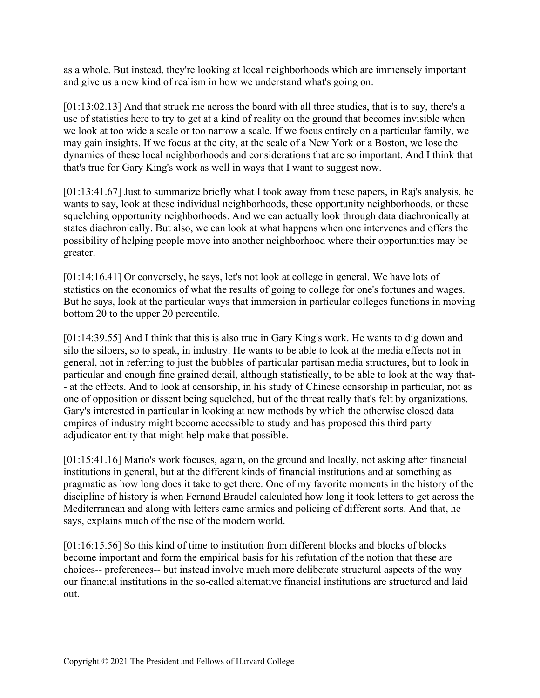as a whole. But instead, they're looking at local neighborhoods which are immensely important and give us a new kind of realism in how we understand what's going on.

[01:13:02.13] And that struck me across the board with all three studies, that is to say, there's a use of statistics here to try to get at a kind of reality on the ground that becomes invisible when we look at too wide a scale or too narrow a scale. If we focus entirely on a particular family, we may gain insights. If we focus at the city, at the scale of a New York or a Boston, we lose the dynamics of these local neighborhoods and considerations that are so important. And I think that that's true for Gary King's work as well in ways that I want to suggest now.

[01:13:41.67] Just to summarize briefly what I took away from these papers, in Raj's analysis, he wants to say, look at these individual neighborhoods, these opportunity neighborhoods, or these squelching opportunity neighborhoods. And we can actually look through data diachronically at states diachronically. But also, we can look at what happens when one intervenes and offers the possibility of helping people move into another neighborhood where their opportunities may be greater.

[01:14:16.41] Or conversely, he says, let's not look at college in general. We have lots of statistics on the economics of what the results of going to college for one's fortunes and wages. But he says, look at the particular ways that immersion in particular colleges functions in moving bottom 20 to the upper 20 percentile.

[01:14:39.55] And I think that this is also true in Gary King's work. He wants to dig down and silo the siloers, so to speak, in industry. He wants to be able to look at the media effects not in general, not in referring to just the bubbles of particular partisan media structures, but to look in particular and enough fine grained detail, although statistically, to be able to look at the way that- - at the effects. And to look at censorship, in his study of Chinese censorship in particular, not as one of opposition or dissent being squelched, but of the threat really that's felt by organizations. Gary's interested in particular in looking at new methods by which the otherwise closed data empires of industry might become accessible to study and has proposed this third party adjudicator entity that might help make that possible.

[01:15:41.16] Mario's work focuses, again, on the ground and locally, not asking after financial institutions in general, but at the different kinds of financial institutions and at something as pragmatic as how long does it take to get there. One of my favorite moments in the history of the discipline of history is when Fernand Braudel calculated how long it took letters to get across the Mediterranean and along with letters came armies and policing of different sorts. And that, he says, explains much of the rise of the modern world.

[01:16:15.56] So this kind of time to institution from different blocks and blocks of blocks become important and form the empirical basis for his refutation of the notion that these are choices-- preferences-- but instead involve much more deliberate structural aspects of the way our financial institutions in the so-called alternative financial institutions are structured and laid out.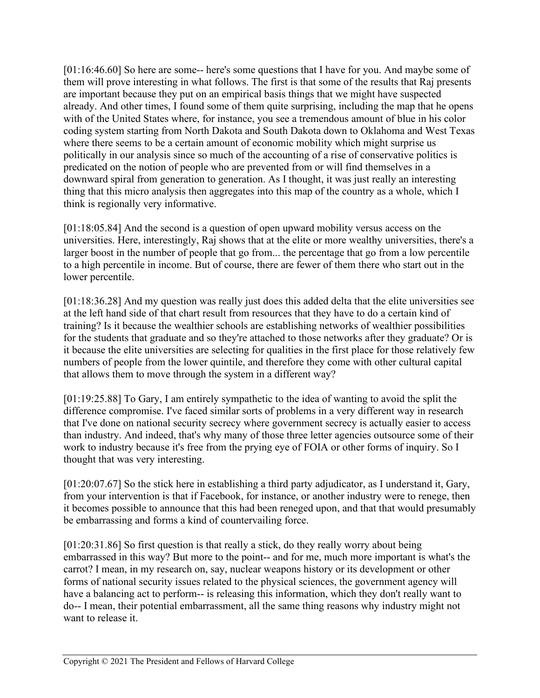[01:16:46.60] So here are some-- here's some questions that I have for you. And maybe some of them will prove interesting in what follows. The first is that some of the results that Raj presents are important because they put on an empirical basis things that we might have suspected already. And other times, I found some of them quite surprising, including the map that he opens with of the United States where, for instance, you see a tremendous amount of blue in his color coding system starting from North Dakota and South Dakota down to Oklahoma and West Texas where there seems to be a certain amount of economic mobility which might surprise us politically in our analysis since so much of the accounting of a rise of conservative politics is predicated on the notion of people who are prevented from or will find themselves in a downward spiral from generation to generation. As I thought, it was just really an interesting thing that this micro analysis then aggregates into this map of the country as a whole, which I think is regionally very informative.

[01:18:05.84] And the second is a question of open upward mobility versus access on the universities. Here, interestingly, Raj shows that at the elite or more wealthy universities, there's a larger boost in the number of people that go from... the percentage that go from a low percentile to a high percentile in income. But of course, there are fewer of them there who start out in the lower percentile.

[01:18:36.28] And my question was really just does this added delta that the elite universities see at the left hand side of that chart result from resources that they have to do a certain kind of training? Is it because the wealthier schools are establishing networks of wealthier possibilities for the students that graduate and so they're attached to those networks after they graduate? Or is it because the elite universities are selecting for qualities in the first place for those relatively few numbers of people from the lower quintile, and therefore they come with other cultural capital that allows them to move through the system in a different way?

[01:19:25.88] To Gary, I am entirely sympathetic to the idea of wanting to avoid the split the difference compromise. I've faced similar sorts of problems in a very different way in research that I've done on national security secrecy where government secrecy is actually easier to access than industry. And indeed, that's why many of those three letter agencies outsource some of their work to industry because it's free from the prying eye of FOIA or other forms of inquiry. So I thought that was very interesting.

[01:20:07.67] So the stick here in establishing a third party adjudicator, as I understand it, Gary, from your intervention is that if Facebook, for instance, or another industry were to renege, then it becomes possible to announce that this had been reneged upon, and that that would presumably be embarrassing and forms a kind of countervailing force.

[01:20:31.86] So first question is that really a stick, do they really worry about being embarrassed in this way? But more to the point-- and for me, much more important is what's the carrot? I mean, in my research on, say, nuclear weapons history or its development or other forms of national security issues related to the physical sciences, the government agency will have a balancing act to perform-- is releasing this information, which they don't really want to do-- I mean, their potential embarrassment, all the same thing reasons why industry might not want to release it.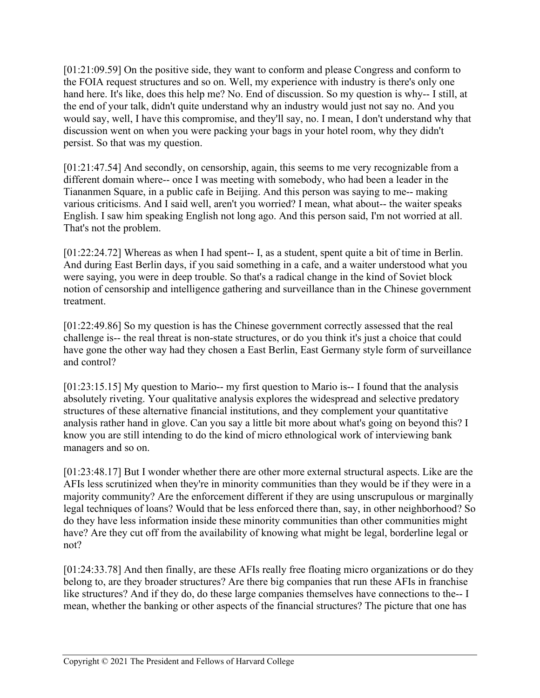[01:21:09.59] On the positive side, they want to conform and please Congress and conform to the FOIA request structures and so on. Well, my experience with industry is there's only one hand here. It's like, does this help me? No. End of discussion. So my question is why-- I still, at the end of your talk, didn't quite understand why an industry would just not say no. And you would say, well, I have this compromise, and they'll say, no. I mean, I don't understand why that discussion went on when you were packing your bags in your hotel room, why they didn't persist. So that was my question.

[01:21:47.54] And secondly, on censorship, again, this seems to me very recognizable from a different domain where-- once I was meeting with somebody, who had been a leader in the Tiananmen Square, in a public cafe in Beijing. And this person was saying to me-- making various criticisms. And I said well, aren't you worried? I mean, what about-- the waiter speaks English. I saw him speaking English not long ago. And this person said, I'm not worried at all. That's not the problem.

[01:22:24.72] Whereas as when I had spent-- I, as a student, spent quite a bit of time in Berlin. And during East Berlin days, if you said something in a cafe, and a waiter understood what you were saying, you were in deep trouble. So that's a radical change in the kind of Soviet block notion of censorship and intelligence gathering and surveillance than in the Chinese government treatment.

[01:22:49.86] So my question is has the Chinese government correctly assessed that the real challenge is-- the real threat is non-state structures, or do you think it's just a choice that could have gone the other way had they chosen a East Berlin, East Germany style form of surveillance and control?

[01:23:15.15] My question to Mario-- my first question to Mario is-- I found that the analysis absolutely riveting. Your qualitative analysis explores the widespread and selective predatory structures of these alternative financial institutions, and they complement your quantitative analysis rather hand in glove. Can you say a little bit more about what's going on beyond this? I know you are still intending to do the kind of micro ethnological work of interviewing bank managers and so on.

[01:23:48.17] But I wonder whether there are other more external structural aspects. Like are the AFIs less scrutinized when they're in minority communities than they would be if they were in a majority community? Are the enforcement different if they are using unscrupulous or marginally legal techniques of loans? Would that be less enforced there than, say, in other neighborhood? So do they have less information inside these minority communities than other communities might have? Are they cut off from the availability of knowing what might be legal, borderline legal or not?

[01:24:33.78] And then finally, are these AFIs really free floating micro organizations or do they belong to, are they broader structures? Are there big companies that run these AFIs in franchise like structures? And if they do, do these large companies themselves have connections to the-- I mean, whether the banking or other aspects of the financial structures? The picture that one has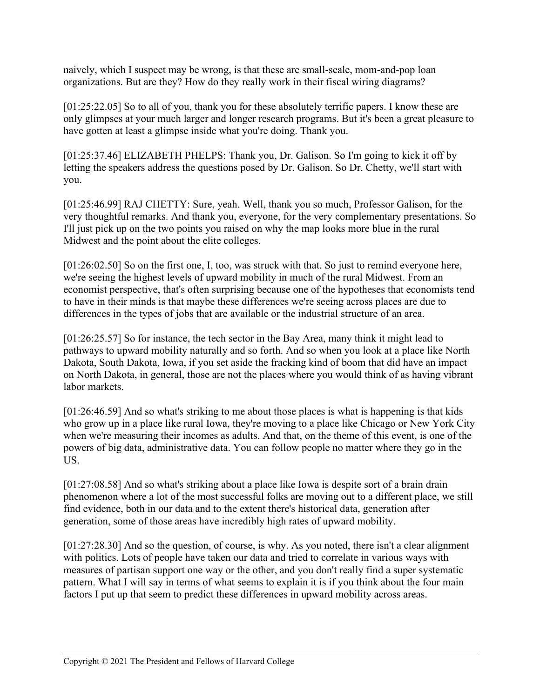naively, which I suspect may be wrong, is that these are small-scale, mom-and-pop loan organizations. But are they? How do they really work in their fiscal wiring diagrams?

[01:25:22.05] So to all of you, thank you for these absolutely terrific papers. I know these are only glimpses at your much larger and longer research programs. But it's been a great pleasure to have gotten at least a glimpse inside what you're doing. Thank you.

[01:25:37.46] ELIZABETH PHELPS: Thank you, Dr. Galison. So I'm going to kick it off by letting the speakers address the questions posed by Dr. Galison. So Dr. Chetty, we'll start with you.

[01:25:46.99] RAJ CHETTY: Sure, yeah. Well, thank you so much, Professor Galison, for the very thoughtful remarks. And thank you, everyone, for the very complementary presentations. So I'll just pick up on the two points you raised on why the map looks more blue in the rural Midwest and the point about the elite colleges.

[01:26:02.50] So on the first one, I, too, was struck with that. So just to remind everyone here, we're seeing the highest levels of upward mobility in much of the rural Midwest. From an economist perspective, that's often surprising because one of the hypotheses that economists tend to have in their minds is that maybe these differences we're seeing across places are due to differences in the types of jobs that are available or the industrial structure of an area.

[01:26:25.57] So for instance, the tech sector in the Bay Area, many think it might lead to pathways to upward mobility naturally and so forth. And so when you look at a place like North Dakota, South Dakota, Iowa, if you set aside the fracking kind of boom that did have an impact on North Dakota, in general, those are not the places where you would think of as having vibrant labor markets.

[01:26:46.59] And so what's striking to me about those places is what is happening is that kids who grow up in a place like rural Iowa, they're moving to a place like Chicago or New York City when we're measuring their incomes as adults. And that, on the theme of this event, is one of the powers of big data, administrative data. You can follow people no matter where they go in the US.

[01:27:08.58] And so what's striking about a place like Iowa is despite sort of a brain drain phenomenon where a lot of the most successful folks are moving out to a different place, we still find evidence, both in our data and to the extent there's historical data, generation after generation, some of those areas have incredibly high rates of upward mobility.

[01:27:28.30] And so the question, of course, is why. As you noted, there isn't a clear alignment with politics. Lots of people have taken our data and tried to correlate in various ways with measures of partisan support one way or the other, and you don't really find a super systematic pattern. What I will say in terms of what seems to explain it is if you think about the four main factors I put up that seem to predict these differences in upward mobility across areas.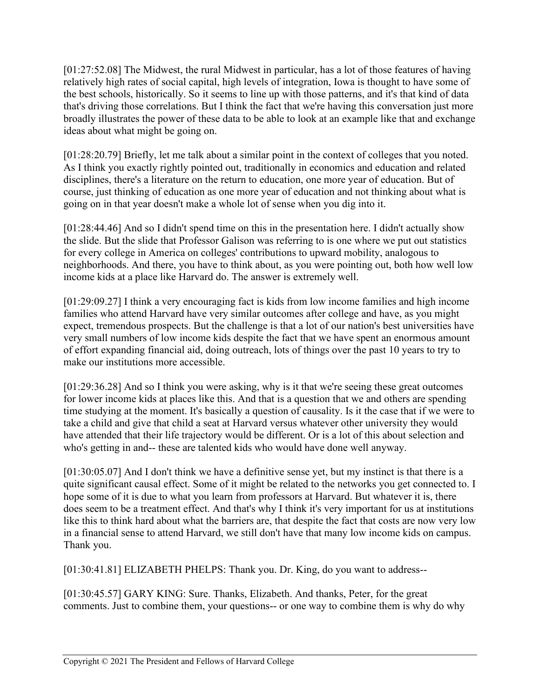[01:27:52.08] The Midwest, the rural Midwest in particular, has a lot of those features of having relatively high rates of social capital, high levels of integration, Iowa is thought to have some of the best schools, historically. So it seems to line up with those patterns, and it's that kind of data that's driving those correlations. But I think the fact that we're having this conversation just more broadly illustrates the power of these data to be able to look at an example like that and exchange ideas about what might be going on.

[01:28:20.79] Briefly, let me talk about a similar point in the context of colleges that you noted. As I think you exactly rightly pointed out, traditionally in economics and education and related disciplines, there's a literature on the return to education, one more year of education. But of course, just thinking of education as one more year of education and not thinking about what is going on in that year doesn't make a whole lot of sense when you dig into it.

[01:28:44.46] And so I didn't spend time on this in the presentation here. I didn't actually show the slide. But the slide that Professor Galison was referring to is one where we put out statistics for every college in America on colleges' contributions to upward mobility, analogous to neighborhoods. And there, you have to think about, as you were pointing out, both how well low income kids at a place like Harvard do. The answer is extremely well.

[01:29:09.27] I think a very encouraging fact is kids from low income families and high income families who attend Harvard have very similar outcomes after college and have, as you might expect, tremendous prospects. But the challenge is that a lot of our nation's best universities have very small numbers of low income kids despite the fact that we have spent an enormous amount of effort expanding financial aid, doing outreach, lots of things over the past 10 years to try to make our institutions more accessible.

[01:29:36.28] And so I think you were asking, why is it that we're seeing these great outcomes for lower income kids at places like this. And that is a question that we and others are spending time studying at the moment. It's basically a question of causality. Is it the case that if we were to take a child and give that child a seat at Harvard versus whatever other university they would have attended that their life trajectory would be different. Or is a lot of this about selection and who's getting in and-- these are talented kids who would have done well anyway.

[01:30:05.07] And I don't think we have a definitive sense yet, but my instinct is that there is a quite significant causal effect. Some of it might be related to the networks you get connected to. I hope some of it is due to what you learn from professors at Harvard. But whatever it is, there does seem to be a treatment effect. And that's why I think it's very important for us at institutions like this to think hard about what the barriers are, that despite the fact that costs are now very low in a financial sense to attend Harvard, we still don't have that many low income kids on campus. Thank you.

[01:30:41.81] ELIZABETH PHELPS: Thank you. Dr. King, do you want to address--

[01:30:45.57] GARY KING: Sure. Thanks, Elizabeth. And thanks, Peter, for the great comments. Just to combine them, your questions-- or one way to combine them is why do why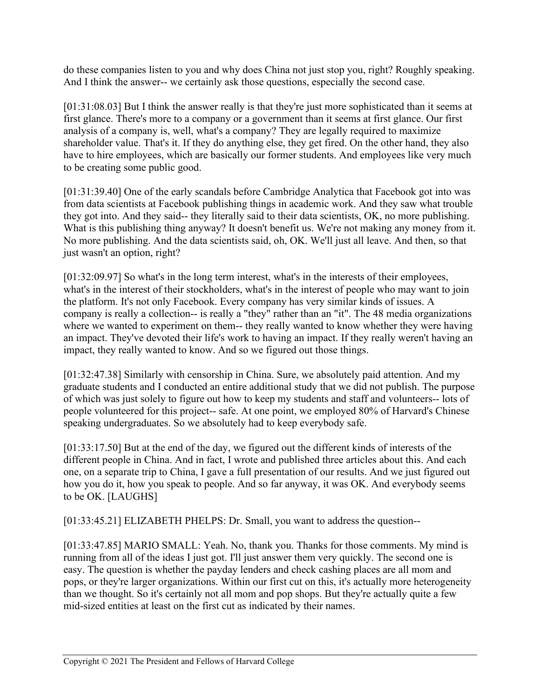do these companies listen to you and why does China not just stop you, right? Roughly speaking. And I think the answer-- we certainly ask those questions, especially the second case.

[01:31:08.03] But I think the answer really is that they're just more sophisticated than it seems at first glance. There's more to a company or a government than it seems at first glance. Our first analysis of a company is, well, what's a company? They are legally required to maximize shareholder value. That's it. If they do anything else, they get fired. On the other hand, they also have to hire employees, which are basically our former students. And employees like very much to be creating some public good.

[01:31:39.40] One of the early scandals before Cambridge Analytica that Facebook got into was from data scientists at Facebook publishing things in academic work. And they saw what trouble they got into. And they said-- they literally said to their data scientists, OK, no more publishing. What is this publishing thing anyway? It doesn't benefit us. We're not making any money from it. No more publishing. And the data scientists said, oh, OK. We'll just all leave. And then, so that just wasn't an option, right?

[01:32:09.97] So what's in the long term interest, what's in the interests of their employees, what's in the interest of their stockholders, what's in the interest of people who may want to join the platform. It's not only Facebook. Every company has very similar kinds of issues. A company is really a collection-- is really a "they" rather than an "it". The 48 media organizations where we wanted to experiment on them-- they really wanted to know whether they were having an impact. They've devoted their life's work to having an impact. If they really weren't having an impact, they really wanted to know. And so we figured out those things.

[01:32:47.38] Similarly with censorship in China. Sure, we absolutely paid attention. And my graduate students and I conducted an entire additional study that we did not publish. The purpose of which was just solely to figure out how to keep my students and staff and volunteers-- lots of people volunteered for this project-- safe. At one point, we employed 80% of Harvard's Chinese speaking undergraduates. So we absolutely had to keep everybody safe.

[01:33:17.50] But at the end of the day, we figured out the different kinds of interests of the different people in China. And in fact, I wrote and published three articles about this. And each one, on a separate trip to China, I gave a full presentation of our results. And we just figured out how you do it, how you speak to people. And so far anyway, it was OK. And everybody seems to be OK. [LAUGHS]

[01:33:45.21] ELIZABETH PHELPS: Dr. Small, you want to address the question--

[01:33:47.85] MARIO SMALL: Yeah. No, thank you. Thanks for those comments. My mind is running from all of the ideas I just got. I'll just answer them very quickly. The second one is easy. The question is whether the payday lenders and check cashing places are all mom and pops, or they're larger organizations. Within our first cut on this, it's actually more heterogeneity than we thought. So it's certainly not all mom and pop shops. But they're actually quite a few mid-sized entities at least on the first cut as indicated by their names.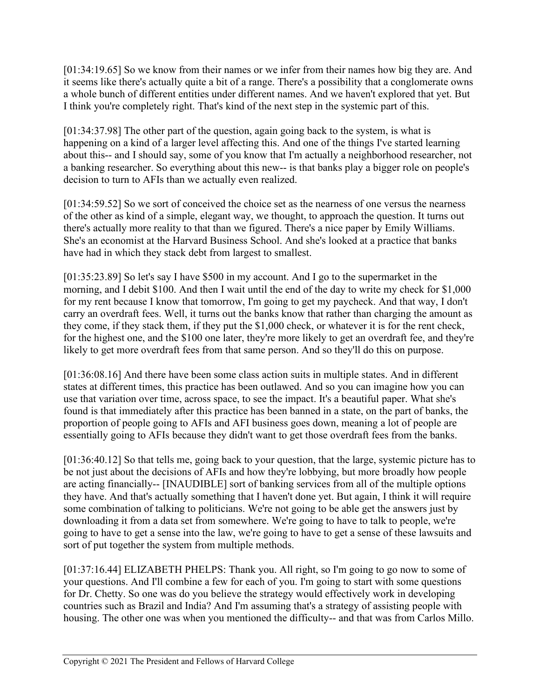[01:34:19.65] So we know from their names or we infer from their names how big they are. And it seems like there's actually quite a bit of a range. There's a possibility that a conglomerate owns a whole bunch of different entities under different names. And we haven't explored that yet. But I think you're completely right. That's kind of the next step in the systemic part of this.

[01:34:37.98] The other part of the question, again going back to the system, is what is happening on a kind of a larger level affecting this. And one of the things I've started learning about this-- and I should say, some of you know that I'm actually a neighborhood researcher, not a banking researcher. So everything about this new-- is that banks play a bigger role on people's decision to turn to AFIs than we actually even realized.

[01:34:59.52] So we sort of conceived the choice set as the nearness of one versus the nearness of the other as kind of a simple, elegant way, we thought, to approach the question. It turns out there's actually more reality to that than we figured. There's a nice paper by Emily Williams. She's an economist at the Harvard Business School. And she's looked at a practice that banks have had in which they stack debt from largest to smallest.

[01:35:23.89] So let's say I have \$500 in my account. And I go to the supermarket in the morning, and I debit \$100. And then I wait until the end of the day to write my check for \$1,000 for my rent because I know that tomorrow, I'm going to get my paycheck. And that way, I don't carry an overdraft fees. Well, it turns out the banks know that rather than charging the amount as they come, if they stack them, if they put the \$1,000 check, or whatever it is for the rent check, for the highest one, and the \$100 one later, they're more likely to get an overdraft fee, and they're likely to get more overdraft fees from that same person. And so they'll do this on purpose.

[01:36:08.16] And there have been some class action suits in multiple states. And in different states at different times, this practice has been outlawed. And so you can imagine how you can use that variation over time, across space, to see the impact. It's a beautiful paper. What she's found is that immediately after this practice has been banned in a state, on the part of banks, the proportion of people going to AFIs and AFI business goes down, meaning a lot of people are essentially going to AFIs because they didn't want to get those overdraft fees from the banks.

[01:36:40.12] So that tells me, going back to your question, that the large, systemic picture has to be not just about the decisions of AFIs and how they're lobbying, but more broadly how people are acting financially-- [INAUDIBLE] sort of banking services from all of the multiple options they have. And that's actually something that I haven't done yet. But again, I think it will require some combination of talking to politicians. We're not going to be able get the answers just by downloading it from a data set from somewhere. We're going to have to talk to people, we're going to have to get a sense into the law, we're going to have to get a sense of these lawsuits and sort of put together the system from multiple methods.

[01:37:16.44] ELIZABETH PHELPS: Thank you. All right, so I'm going to go now to some of your questions. And I'll combine a few for each of you. I'm going to start with some questions for Dr. Chetty. So one was do you believe the strategy would effectively work in developing countries such as Brazil and India? And I'm assuming that's a strategy of assisting people with housing. The other one was when you mentioned the difficulty-- and that was from Carlos Millo.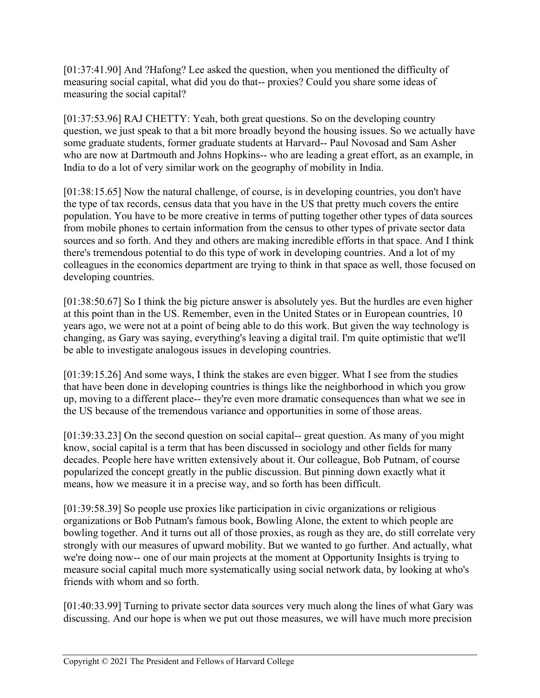[01:37:41.90] And ?Hafong? Lee asked the question, when you mentioned the difficulty of measuring social capital, what did you do that-- proxies? Could you share some ideas of measuring the social capital?

[01:37:53.96] RAJ CHETTY: Yeah, both great questions. So on the developing country question, we just speak to that a bit more broadly beyond the housing issues. So we actually have some graduate students, former graduate students at Harvard-- Paul Novosad and Sam Asher who are now at Dartmouth and Johns Hopkins-- who are leading a great effort, as an example, in India to do a lot of very similar work on the geography of mobility in India.

[01:38:15.65] Now the natural challenge, of course, is in developing countries, you don't have the type of tax records, census data that you have in the US that pretty much covers the entire population. You have to be more creative in terms of putting together other types of data sources from mobile phones to certain information from the census to other types of private sector data sources and so forth. And they and others are making incredible efforts in that space. And I think there's tremendous potential to do this type of work in developing countries. And a lot of my colleagues in the economics department are trying to think in that space as well, those focused on developing countries.

[01:38:50.67] So I think the big picture answer is absolutely yes. But the hurdles are even higher at this point than in the US. Remember, even in the United States or in European countries, 10 years ago, we were not at a point of being able to do this work. But given the way technology is changing, as Gary was saying, everything's leaving a digital trail. I'm quite optimistic that we'll be able to investigate analogous issues in developing countries.

[01:39:15.26] And some ways, I think the stakes are even bigger. What I see from the studies that have been done in developing countries is things like the neighborhood in which you grow up, moving to a different place-- they're even more dramatic consequences than what we see in the US because of the tremendous variance and opportunities in some of those areas.

[01:39:33.23] On the second question on social capital— great question. As many of you might know, social capital is a term that has been discussed in sociology and other fields for many decades. People here have written extensively about it. Our colleague, Bob Putnam, of course popularized the concept greatly in the public discussion. But pinning down exactly what it means, how we measure it in a precise way, and so forth has been difficult.

[01:39:58.39] So people use proxies like participation in civic organizations or religious organizations or Bob Putnam's famous book, Bowling Alone, the extent to which people are bowling together. And it turns out all of those proxies, as rough as they are, do still correlate very strongly with our measures of upward mobility. But we wanted to go further. And actually, what we're doing now-- one of our main projects at the moment at Opportunity Insights is trying to measure social capital much more systematically using social network data, by looking at who's friends with whom and so forth.

[01:40:33.99] Turning to private sector data sources very much along the lines of what Gary was discussing. And our hope is when we put out those measures, we will have much more precision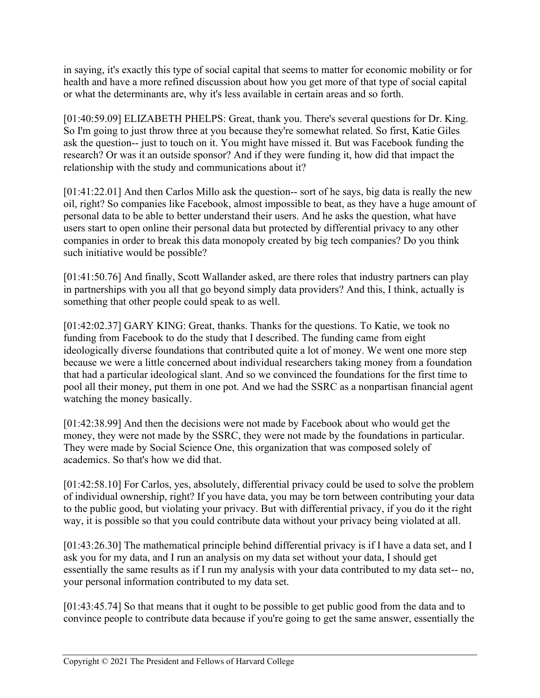in saying, it's exactly this type of social capital that seems to matter for economic mobility or for health and have a more refined discussion about how you get more of that type of social capital or what the determinants are, why it's less available in certain areas and so forth.

[01:40:59.09] ELIZABETH PHELPS: Great, thank you. There's several questions for Dr. King. So I'm going to just throw three at you because they're somewhat related. So first, Katie Giles ask the question-- just to touch on it. You might have missed it. But was Facebook funding the research? Or was it an outside sponsor? And if they were funding it, how did that impact the relationship with the study and communications about it?

[01:41:22.01] And then Carlos Millo ask the question-- sort of he says, big data is really the new oil, right? So companies like Facebook, almost impossible to beat, as they have a huge amount of personal data to be able to better understand their users. And he asks the question, what have users start to open online their personal data but protected by differential privacy to any other companies in order to break this data monopoly created by big tech companies? Do you think such initiative would be possible?

[01:41:50.76] And finally, Scott Wallander asked, are there roles that industry partners can play in partnerships with you all that go beyond simply data providers? And this, I think, actually is something that other people could speak to as well.

[01:42:02.37] GARY KING: Great, thanks. Thanks for the questions. To Katie, we took no funding from Facebook to do the study that I described. The funding came from eight ideologically diverse foundations that contributed quite a lot of money. We went one more step because we were a little concerned about individual researchers taking money from a foundation that had a particular ideological slant. And so we convinced the foundations for the first time to pool all their money, put them in one pot. And we had the SSRC as a nonpartisan financial agent watching the money basically.

[01:42:38.99] And then the decisions were not made by Facebook about who would get the money, they were not made by the SSRC, they were not made by the foundations in particular. They were made by Social Science One, this organization that was composed solely of academics. So that's how we did that.

[01:42:58.10] For Carlos, yes, absolutely, differential privacy could be used to solve the problem of individual ownership, right? If you have data, you may be torn between contributing your data to the public good, but violating your privacy. But with differential privacy, if you do it the right way, it is possible so that you could contribute data without your privacy being violated at all.

[01:43:26.30] The mathematical principle behind differential privacy is if I have a data set, and I ask you for my data, and I run an analysis on my data set without your data, I should get essentially the same results as if I run my analysis with your data contributed to my data set-- no, your personal information contributed to my data set.

[01:43:45.74] So that means that it ought to be possible to get public good from the data and to convince people to contribute data because if you're going to get the same answer, essentially the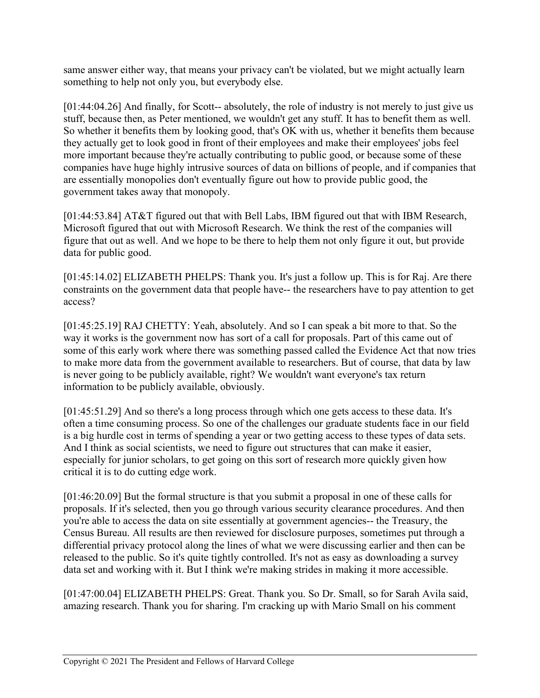same answer either way, that means your privacy can't be violated, but we might actually learn something to help not only you, but everybody else.

[01:44:04.26] And finally, for Scott-- absolutely, the role of industry is not merely to just give us stuff, because then, as Peter mentioned, we wouldn't get any stuff. It has to benefit them as well. So whether it benefits them by looking good, that's OK with us, whether it benefits them because they actually get to look good in front of their employees and make their employees' jobs feel more important because they're actually contributing to public good, or because some of these companies have huge highly intrusive sources of data on billions of people, and if companies that are essentially monopolies don't eventually figure out how to provide public good, the government takes away that monopoly.

[01:44:53.84] AT&T figured out that with Bell Labs, IBM figured out that with IBM Research, Microsoft figured that out with Microsoft Research. We think the rest of the companies will figure that out as well. And we hope to be there to help them not only figure it out, but provide data for public good.

[01:45:14.02] ELIZABETH PHELPS: Thank you. It's just a follow up. This is for Raj. Are there constraints on the government data that people have-- the researchers have to pay attention to get access?

[01:45:25.19] RAJ CHETTY: Yeah, absolutely. And so I can speak a bit more to that. So the way it works is the government now has sort of a call for proposals. Part of this came out of some of this early work where there was something passed called the Evidence Act that now tries to make more data from the government available to researchers. But of course, that data by law is never going to be publicly available, right? We wouldn't want everyone's tax return information to be publicly available, obviously.

[01:45:51.29] And so there's a long process through which one gets access to these data. It's often a time consuming process. So one of the challenges our graduate students face in our field is a big hurdle cost in terms of spending a year or two getting access to these types of data sets. And I think as social scientists, we need to figure out structures that can make it easier, especially for junior scholars, to get going on this sort of research more quickly given how critical it is to do cutting edge work.

[01:46:20.09] But the formal structure is that you submit a proposal in one of these calls for proposals. If it's selected, then you go through various security clearance procedures. And then you're able to access the data on site essentially at government agencies-- the Treasury, the Census Bureau. All results are then reviewed for disclosure purposes, sometimes put through a differential privacy protocol along the lines of what we were discussing earlier and then can be released to the public. So it's quite tightly controlled. It's not as easy as downloading a survey data set and working with it. But I think we're making strides in making it more accessible.

[01:47:00.04] ELIZABETH PHELPS: Great. Thank you. So Dr. Small, so for Sarah Avila said, amazing research. Thank you for sharing. I'm cracking up with Mario Small on his comment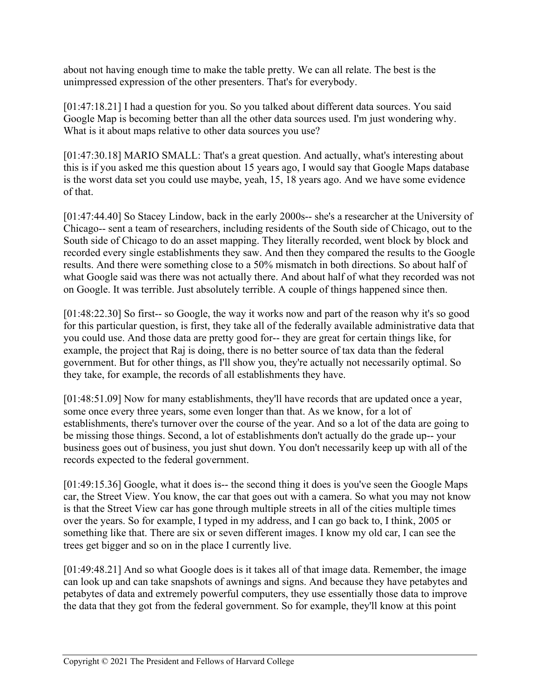about not having enough time to make the table pretty. We can all relate. The best is the unimpressed expression of the other presenters. That's for everybody.

[01:47:18.21] I had a question for you. So you talked about different data sources. You said Google Map is becoming better than all the other data sources used. I'm just wondering why. What is it about maps relative to other data sources you use?

[01:47:30.18] MARIO SMALL: That's a great question. And actually, what's interesting about this is if you asked me this question about 15 years ago, I would say that Google Maps database is the worst data set you could use maybe, yeah, 15, 18 years ago. And we have some evidence of that.

[01:47:44.40] So Stacey Lindow, back in the early 2000s-- she's a researcher at the University of Chicago-- sent a team of researchers, including residents of the South side of Chicago, out to the South side of Chicago to do an asset mapping. They literally recorded, went block by block and recorded every single establishments they saw. And then they compared the results to the Google results. And there were something close to a 50% mismatch in both directions. So about half of what Google said was there was not actually there. And about half of what they recorded was not on Google. It was terrible. Just absolutely terrible. A couple of things happened since then.

[01:48:22.30] So first-- so Google, the way it works now and part of the reason why it's so good for this particular question, is first, they take all of the federally available administrative data that you could use. And those data are pretty good for-- they are great for certain things like, for example, the project that Raj is doing, there is no better source of tax data than the federal government. But for other things, as I'll show you, they're actually not necessarily optimal. So they take, for example, the records of all establishments they have.

[01:48:51.09] Now for many establishments, they'll have records that are updated once a year, some once every three years, some even longer than that. As we know, for a lot of establishments, there's turnover over the course of the year. And so a lot of the data are going to be missing those things. Second, a lot of establishments don't actually do the grade up-- your business goes out of business, you just shut down. You don't necessarily keep up with all of the records expected to the federal government.

[01:49:15.36] Google, what it does is-- the second thing it does is you've seen the Google Maps car, the Street View. You know, the car that goes out with a camera. So what you may not know is that the Street View car has gone through multiple streets in all of the cities multiple times over the years. So for example, I typed in my address, and I can go back to, I think, 2005 or something like that. There are six or seven different images. I know my old car, I can see the trees get bigger and so on in the place I currently live.

[01:49:48.21] And so what Google does is it takes all of that image data. Remember, the image can look up and can take snapshots of awnings and signs. And because they have petabytes and petabytes of data and extremely powerful computers, they use essentially those data to improve the data that they got from the federal government. So for example, they'll know at this point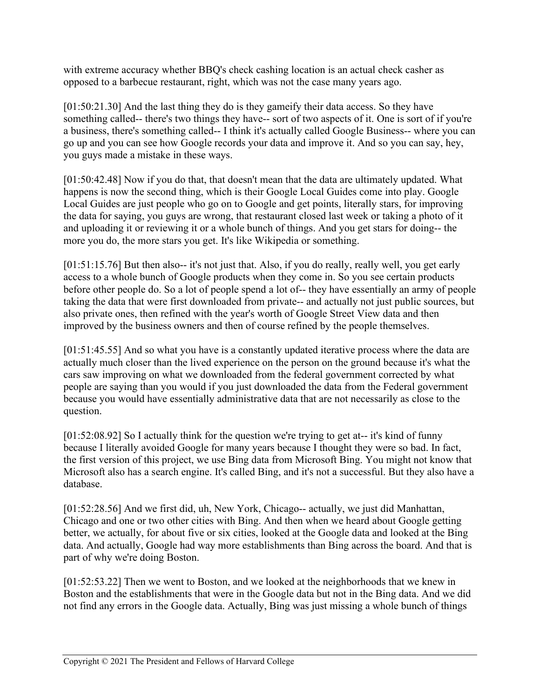with extreme accuracy whether BBQ's check cashing location is an actual check casher as opposed to a barbecue restaurant, right, which was not the case many years ago.

[01:50:21.30] And the last thing they do is they gameify their data access. So they have something called-- there's two things they have-- sort of two aspects of it. One is sort of if you're a business, there's something called-- I think it's actually called Google Business-- where you can go up and you can see how Google records your data and improve it. And so you can say, hey, you guys made a mistake in these ways.

[01:50:42.48] Now if you do that, that doesn't mean that the data are ultimately updated. What happens is now the second thing, which is their Google Local Guides come into play. Google Local Guides are just people who go on to Google and get points, literally stars, for improving the data for saying, you guys are wrong, that restaurant closed last week or taking a photo of it and uploading it or reviewing it or a whole bunch of things. And you get stars for doing-- the more you do, the more stars you get. It's like Wikipedia or something.

[01:51:15.76] But then also-- it's not just that. Also, if you do really, really well, you get early access to a whole bunch of Google products when they come in. So you see certain products before other people do. So a lot of people spend a lot of-- they have essentially an army of people taking the data that were first downloaded from private-- and actually not just public sources, but also private ones, then refined with the year's worth of Google Street View data and then improved by the business owners and then of course refined by the people themselves.

[01:51:45.55] And so what you have is a constantly updated iterative process where the data are actually much closer than the lived experience on the person on the ground because it's what the cars saw improving on what we downloaded from the federal government corrected by what people are saying than you would if you just downloaded the data from the Federal government because you would have essentially administrative data that are not necessarily as close to the question.

[01:52:08.92] So I actually think for the question we're trying to get at-- it's kind of funny because I literally avoided Google for many years because I thought they were so bad. In fact, the first version of this project, we use Bing data from Microsoft Bing. You might not know that Microsoft also has a search engine. It's called Bing, and it's not a successful. But they also have a database.

[01:52:28.56] And we first did, uh, New York, Chicago-- actually, we just did Manhattan, Chicago and one or two other cities with Bing. And then when we heard about Google getting better, we actually, for about five or six cities, looked at the Google data and looked at the Bing data. And actually, Google had way more establishments than Bing across the board. And that is part of why we're doing Boston.

[01:52:53.22] Then we went to Boston, and we looked at the neighborhoods that we knew in Boston and the establishments that were in the Google data but not in the Bing data. And we did not find any errors in the Google data. Actually, Bing was just missing a whole bunch of things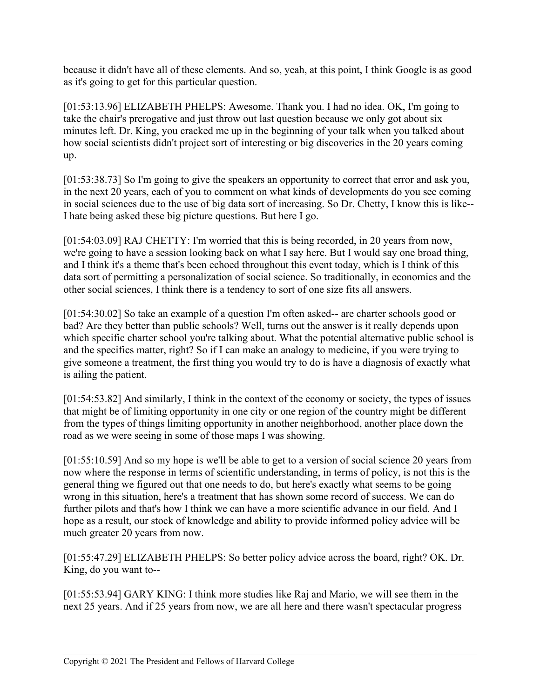because it didn't have all of these elements. And so, yeah, at this point, I think Google is as good as it's going to get for this particular question.

[01:53:13.96] ELIZABETH PHELPS: Awesome. Thank you. I had no idea. OK, I'm going to take the chair's prerogative and just throw out last question because we only got about six minutes left. Dr. King, you cracked me up in the beginning of your talk when you talked about how social scientists didn't project sort of interesting or big discoveries in the 20 years coming up.

[01:53:38.73] So I'm going to give the speakers an opportunity to correct that error and ask you, in the next 20 years, each of you to comment on what kinds of developments do you see coming in social sciences due to the use of big data sort of increasing. So Dr. Chetty, I know this is like-- I hate being asked these big picture questions. But here I go.

[01:54:03.09] RAJ CHETTY: I'm worried that this is being recorded, in 20 years from now, we're going to have a session looking back on what I say here. But I would say one broad thing, and I think it's a theme that's been echoed throughout this event today, which is I think of this data sort of permitting a personalization of social science. So traditionally, in economics and the other social sciences, I think there is a tendency to sort of one size fits all answers.

[01:54:30.02] So take an example of a question I'm often asked-- are charter schools good or bad? Are they better than public schools? Well, turns out the answer is it really depends upon which specific charter school you're talking about. What the potential alternative public school is and the specifics matter, right? So if I can make an analogy to medicine, if you were trying to give someone a treatment, the first thing you would try to do is have a diagnosis of exactly what is ailing the patient.

[01:54:53.82] And similarly, I think in the context of the economy or society, the types of issues that might be of limiting opportunity in one city or one region of the country might be different from the types of things limiting opportunity in another neighborhood, another place down the road as we were seeing in some of those maps I was showing.

[01:55:10.59] And so my hope is we'll be able to get to a version of social science 20 years from now where the response in terms of scientific understanding, in terms of policy, is not this is the general thing we figured out that one needs to do, but here's exactly what seems to be going wrong in this situation, here's a treatment that has shown some record of success. We can do further pilots and that's how I think we can have a more scientific advance in our field. And I hope as a result, our stock of knowledge and ability to provide informed policy advice will be much greater 20 years from now.

[01:55:47.29] ELIZABETH PHELPS: So better policy advice across the board, right? OK. Dr. King, do you want to--

[01:55:53.94] GARY KING: I think more studies like Raj and Mario, we will see them in the next 25 years. And if 25 years from now, we are all here and there wasn't spectacular progress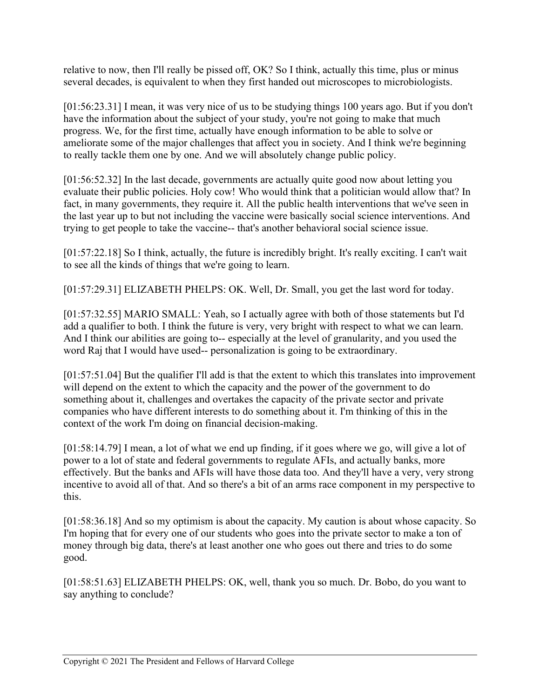relative to now, then I'll really be pissed off, OK? So I think, actually this time, plus or minus several decades, is equivalent to when they first handed out microscopes to microbiologists.

[01:56:23.31] I mean, it was very nice of us to be studying things 100 years ago. But if you don't have the information about the subject of your study, you're not going to make that much progress. We, for the first time, actually have enough information to be able to solve or ameliorate some of the major challenges that affect you in society. And I think we're beginning to really tackle them one by one. And we will absolutely change public policy.

[01:56:52.32] In the last decade, governments are actually quite good now about letting you evaluate their public policies. Holy cow! Who would think that a politician would allow that? In fact, in many governments, they require it. All the public health interventions that we've seen in the last year up to but not including the vaccine were basically social science interventions. And trying to get people to take the vaccine-- that's another behavioral social science issue.

[01:57:22.18] So I think, actually, the future is incredibly bright. It's really exciting. I can't wait to see all the kinds of things that we're going to learn.

[01:57:29.31] ELIZABETH PHELPS: OK. Well, Dr. Small, you get the last word for today.

[01:57:32.55] MARIO SMALL: Yeah, so I actually agree with both of those statements but I'd add a qualifier to both. I think the future is very, very bright with respect to what we can learn. And I think our abilities are going to-- especially at the level of granularity, and you used the word Raj that I would have used-- personalization is going to be extraordinary.

[01:57:51.04] But the qualifier I'll add is that the extent to which this translates into improvement will depend on the extent to which the capacity and the power of the government to do something about it, challenges and overtakes the capacity of the private sector and private companies who have different interests to do something about it. I'm thinking of this in the context of the work I'm doing on financial decision-making.

[01:58:14.79] I mean, a lot of what we end up finding, if it goes where we go, will give a lot of power to a lot of state and federal governments to regulate AFIs, and actually banks, more effectively. But the banks and AFIs will have those data too. And they'll have a very, very strong incentive to avoid all of that. And so there's a bit of an arms race component in my perspective to this.

[01:58:36.18] And so my optimism is about the capacity. My caution is about whose capacity. So I'm hoping that for every one of our students who goes into the private sector to make a ton of money through big data, there's at least another one who goes out there and tries to do some good.

[01:58:51.63] ELIZABETH PHELPS: OK, well, thank you so much. Dr. Bobo, do you want to say anything to conclude?